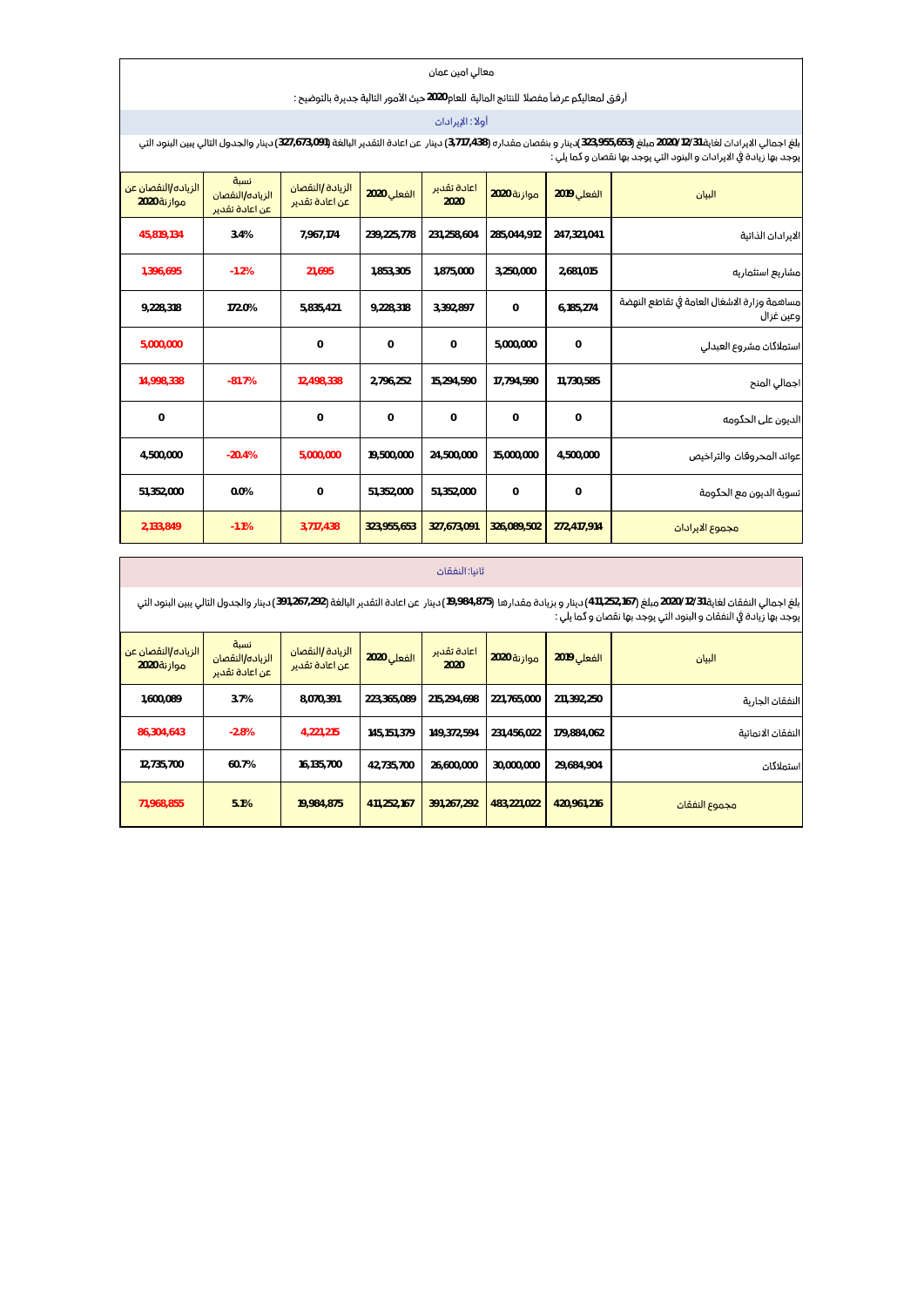#### معالي امين عمان

## أرفق لمعاليكم عرضاً مفصلًا للننائج المالية للعام2020 حيث الأمور النالية جديرة بالنوضيح:

## أولاً: الإيرادان

.<br>بلغ اجمالي الايرادات لغاية 2020/12/31 مبلغ (33,955,653)دينار و بنقصان مقداره (3,717,438)دينار عن اعادة التقدير البالغة (327,673,091)دينار والجدول التالي بين البنود التي<br>يوجد بها زيادة في الايرادات و البنود التي يوجد بها

| البيان                                                   | الفعلى 2019 | موازنة 2020  | اعادة تقدير<br>2020 | الفعلى 2020    | الزيادة /النقصان<br>عن اعادة تقدير | نسىة<br>الزباده/النقصان<br>عن اعادة تقدير | الزياده/النقصان عن<br>موازنة 2020 |
|----------------------------------------------------------|-------------|--------------|---------------------|----------------|------------------------------------|-------------------------------------------|-----------------------------------|
| الايرادان الذاتية                                        | 247,321,041 | 285.044.912  | 231,258,604         | 239,225,778    | 7,967,174                          | 3.4%                                      | 45,819,134                        |
| مشاريع استثماريه                                         | 2,681,015   | 3,250,000    | 1,875,000           | 1,853,305      | 21.695                             | $-1.2%$                                   | 1,396,695                         |
| مساهمة وزارة الاشغال العامة فى تقاطع النهضة<br>وعين غزال | 6,185,274   | $\mathbf{0}$ | 3,392,897           | 9,228,318      | 5,835,421                          | 172.0%                                    | 9,228,318                         |
| استملاكات مشروع العبدلى                                  | $\circ$     | 5.000.000    | $\mathbf{0}$        | $\mathbf{0}$   | $\mathbf 0$                        |                                           | 5,000,000                         |
| اجمالي المنح                                             | 11,730,585  | 17,794,590   | 15,294,590          | 2,796,252      | 12,498,338                         | $-81.7%$                                  | 14,998,338                        |
| الديون على الحكومه                                       | 0           | $\mathbf{0}$ | $\mathbf{0}$        | $\overline{0}$ | $\Omega$                           |                                           | $\mathbf{0}$                      |
| عوائد المحروقان والتراخيص                                | 4.500.000   | 15.000.000   | 24,500,000          | 19,500,000     | 5,000,000                          | $-20.4%$                                  | 4,500,000                         |
| تسوية الديون مع الحكومة                                  | $\Omega$    | $\Omega$     | 51,352,000          | 51,352,000     | $\circ$                            | 0.0%                                      | 51,352,000                        |
| مجموع الابرادان                                          | 272,417,914 | 326.089.502  | 327,673,091         | 323,955,653    | 3,717,438                          | $-1.1%$                                   | 2,133,849                         |

#### ثانيا: النفقات

بلغ اجمالي النفقات لغاية 2020/12/31 مبلغ (11,252,167) دينار و بزيادة مقدارها (19,984,875) دينار عن اعادة التقدير البالغة (391,267,292) دينار والجدول التالي يبين البنود التي<br>يوجد بها زيادة في النفقات و البنود التي يوجد به

| البيان            | <b>الفعلى 2019</b> | موازنة 2020 | اعادة تقدير<br>2020 | الفعلى 2020 | الزبادة /النقصان<br>عن اعادة تقدير | نسبة<br>الزباده/النقصان<br>عن اعادة تقدير | الزياده/النقصان عن<br>موازنة 2020 |
|-------------------|--------------------|-------------|---------------------|-------------|------------------------------------|-------------------------------------------|-----------------------------------|
| النفقان الجارية   | 211,392,250        | 221,765,000 | 215.294.698         | 223.365.089 | 8.070.391                          | 3.7%                                      | 1,600,089                         |
| النفقان الانمائية | 179.884.062        | 231.456.022 | 149.372.594         | 145.151.379 | 4.221.215                          | $-2.8%$                                   | 86,304,643                        |
| استملاكات         | 29.684.904         | 30.000.000  | 26.600.000          | 42.735.700  | 16.135.700                         | 60.7%                                     | 12,735,700                        |
| مجموع النفقات     | 420,961,216        | 483.221.022 | 391, 267, 292       | 411.252.167 | 19.984.875                         | 5.1%                                      | 71,968,855                        |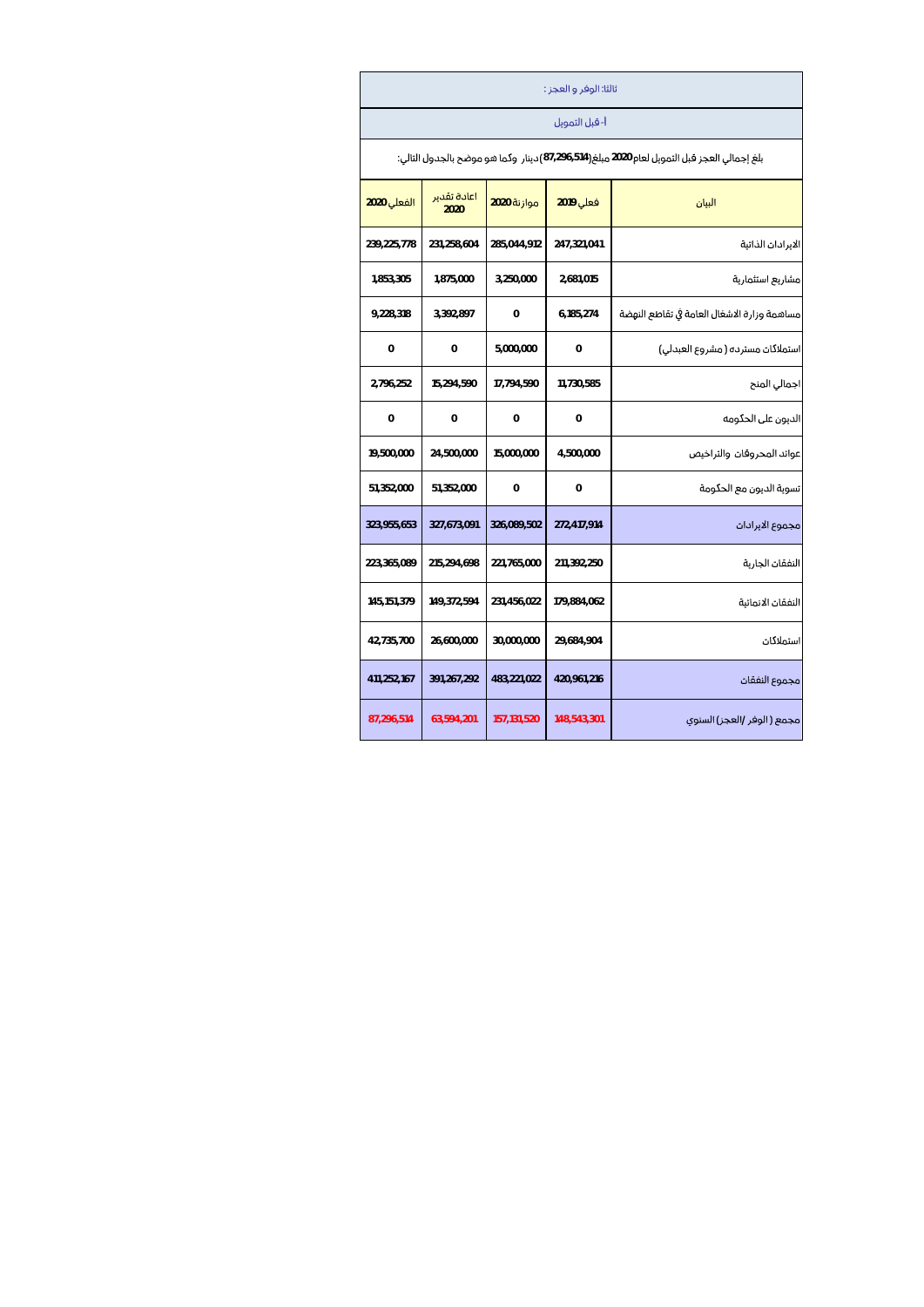| ثالثا: الوفر و العجز :                                                                      |                |               |                     |               |  |  |  |  |  |  |
|---------------------------------------------------------------------------------------------|----------------|---------------|---------------------|---------------|--|--|--|--|--|--|
|                                                                                             | أ- قبل التمويل |               |                     |               |  |  |  |  |  |  |
| بلغ إجمالي العجز قبل التمويل لعام 2020 مبلغ(514,296,514) دينار وكما هو موضح بالجدول التالي: |                |               |                     |               |  |  |  |  |  |  |
| البيان                                                                                      | فعلى 2019      | موازنة 2020   | اعادة تقدير<br>2020 | الفعلى 2020   |  |  |  |  |  |  |
| الايرادان الذاتية                                                                           | 247,321,041    | 285,044,912   | 231,258,604         | 239,225,778   |  |  |  |  |  |  |
| مشاربع استثماربة                                                                            | 2,681,015      | 3,250,000     | 1,875,000           | 1,853,305     |  |  |  |  |  |  |
| مساهمة وزارة الاشغال العامة فى تقاطع النهضة                                                 | 6,185,274      | 0             | 3,392,897           | 9,228,318     |  |  |  |  |  |  |
| استملاکات مسترده ( مشروع العبدلی)                                                           | 0              | 5,000,000     | 0                   | 0             |  |  |  |  |  |  |
| اجمالي المنح                                                                                | 11,730,585     | 17,794,590    | 15,294,590          | 2,796,252     |  |  |  |  |  |  |
| الديون على الحكومه                                                                          | 0              | 0             | 0                   | 0             |  |  |  |  |  |  |
| عوائد المحروفان والتراخيص                                                                   | 4,500,000      | 15,000,000    | 24,500,000          | 19,500,000    |  |  |  |  |  |  |
| تسوية الديون مع الحكومة                                                                     | $\Omega$       | 0             | 51,352,000          | 51,352,000    |  |  |  |  |  |  |
| مجموع الابرادان                                                                             | 272,417,914    | 326,089,502   | 327,673,091         | 323,955,653   |  |  |  |  |  |  |
| النفقان الجاربة                                                                             | 211,392,250    | 221,765,000   | 215,294,698         | 223,365,089   |  |  |  |  |  |  |
| النفقات الانمائية                                                                           | 179,884,062    | 231,456,022   | 149,372,594         | 145, 151, 379 |  |  |  |  |  |  |
| استملاكات                                                                                   | 29,684,904     | 30,000,000    | 26,600,000          | 42,735,700    |  |  |  |  |  |  |
| مجموع النفقات                                                                               | 420,961,216    | 483,221,022   | 391,267,292         | 411,252,167   |  |  |  |  |  |  |
| مجمع ( الوفر /العجز) السنوى                                                                 | 148,543,301    | 157, 131, 520 | 63,594,201          | 87,296,514    |  |  |  |  |  |  |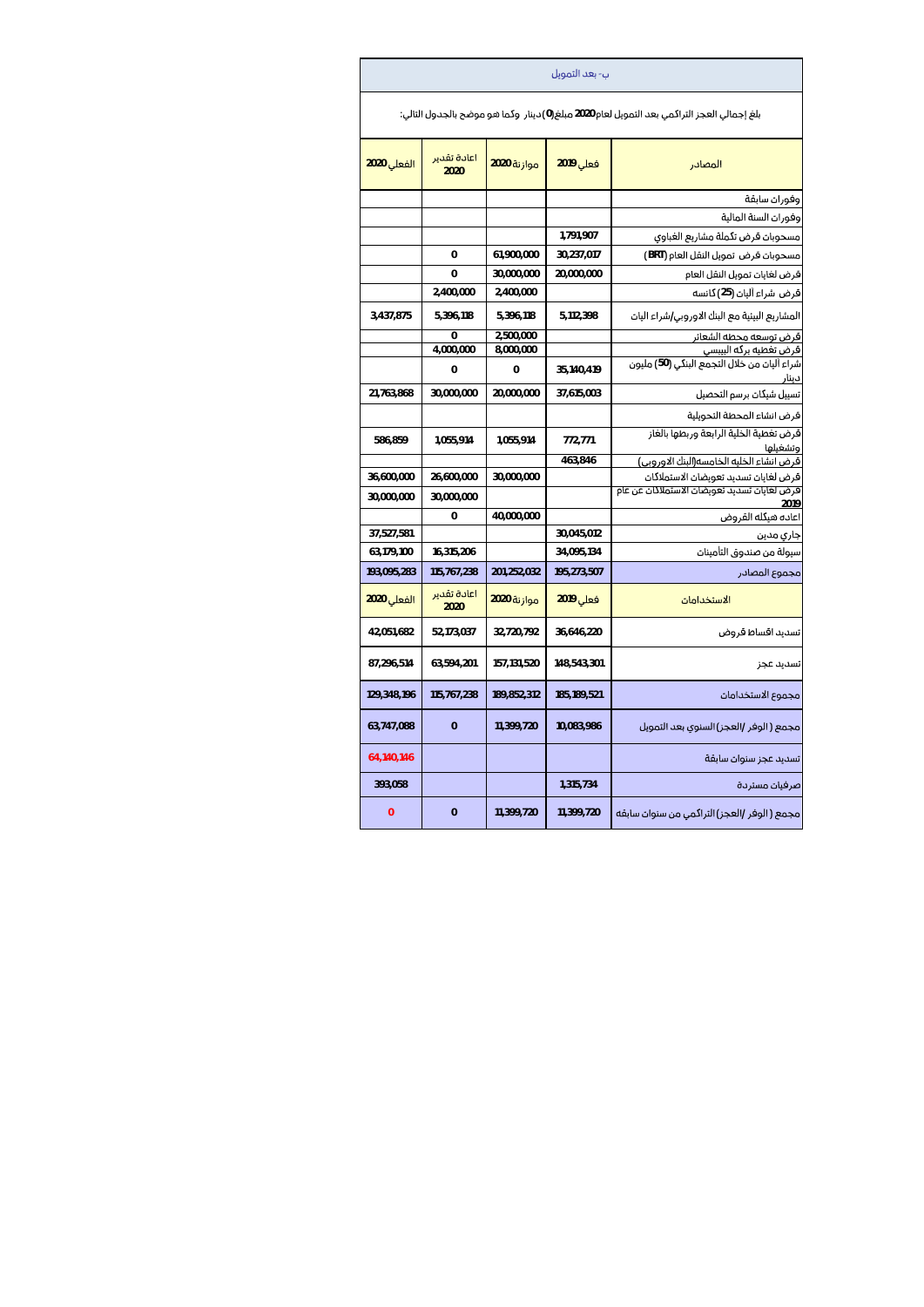|                                                                                             | ب- بعد التمويل |                          |                     |                          |  |  |  |  |  |  |
|---------------------------------------------------------------------------------------------|----------------|--------------------------|---------------------|--------------------------|--|--|--|--|--|--|
| بلغ إجمالي العجز التراكمي بعد التمويل لعام 2020 مبلغ(0) دينار  وكما هو موضح بالجدول التالي: |                |                          |                     |                          |  |  |  |  |  |  |
| المصادر                                                                                     | فعلى 2019      | موازنة 2020              | اعادة تقدير<br>2020 | <mark>الفعلي</mark> 2020 |  |  |  |  |  |  |
| وفورات سابقة                                                                                |                |                          |                     |                          |  |  |  |  |  |  |
| وفوران السنة المالية                                                                        |                |                          |                     |                          |  |  |  |  |  |  |
| مسحوبات فرض تكملة مشاريع الغباوي                                                            | 1,791,907      |                          |                     |                          |  |  |  |  |  |  |
| مسحوبات قرض تمويل النقل العام (BRT)                                                         | 30,237,017     | 61,900,000               | 0                   |                          |  |  |  |  |  |  |
| قرض لغايات تمويل النقل العام                                                                | 20,000,000     | 30,000,000               | 0                   |                          |  |  |  |  |  |  |
| قرض شراء أليان (25) كانسه                                                                   |                | 2,400,000                | 2,400,000           |                          |  |  |  |  |  |  |
| المشاريع البيئية مع البنك الاوروبي/شراء اليات                                               | 5,112,398      | 5,396,118                | 5,396,118           | 3,437,875                |  |  |  |  |  |  |
| قرض توسعه محطه الشعائر                                                                      |                | 2,500,000                | 0                   |                          |  |  |  |  |  |  |
| قرض تغطيه بركه البيبسى<br>شراء آليات من خلال التجمع البنكي (50) مليون<br>دينا،              | 35,140,419     | 8,000,000<br>0           | 4,000,000<br>0      |                          |  |  |  |  |  |  |
| تسييل شيكات برسم التحصيل                                                                    | 37,615,003     | 20,000,000               | 30,000,000          | 21,763,868               |  |  |  |  |  |  |
| قرض انشاء المحطة التحويلية                                                                  |                |                          |                     |                          |  |  |  |  |  |  |
| قرض تغطية الخلية الرابعة وربطها بالغاز<br>وتشغيلها                                          | 772,771        | 1,055,914                | 1,055,914           | 586,859                  |  |  |  |  |  |  |
| فرض انشاء الخليه الخامسه(البنك الاوروبي)                                                    | 463,846        |                          |                     |                          |  |  |  |  |  |  |
| قرض لغايات تسديد تعويضات الاستملاكات                                                        |                | 30,000,000               | 26,600,000          | 36,600,000               |  |  |  |  |  |  |
| .<br>فرض لغايات تسديد تعويضات الاستملاكات عن عام                                            |                |                          | 30,000,000          | 30,000,000               |  |  |  |  |  |  |
| اعاده هيكله القروض                                                                          |                | 40,000,000               | 0                   |                          |  |  |  |  |  |  |
| جاري مدين                                                                                   | 30,045,012     |                          |                     | 37,527,581               |  |  |  |  |  |  |
| سبولة من صندوق التأمينات                                                                    | 34,095,134     |                          | 16,315,206          | 63,179,100               |  |  |  |  |  |  |
| مجموع المصادر                                                                               | 195,273,507    | 201,252,032              | 115,767,238         | 193,095,283              |  |  |  |  |  |  |
| الاستخدامات                                                                                 | فعلى 2019      | <mark>موازنة</mark> 2020 | اعادة تقدير<br>2020 | الفعلى 2020              |  |  |  |  |  |  |
| تسديد اقساط قروض                                                                            | 36,646,220     | 32,720,792               | 52,173,037          | 42,051,682               |  |  |  |  |  |  |
| تسديد عجز                                                                                   | 148,543,301    | 157,131,520              | 63,594,201          | 87,296,514               |  |  |  |  |  |  |
| مجموع الاستخدامات                                                                           | 185, 189, 521  | 189,852,312              | 115,767,238         | 129,348,196              |  |  |  |  |  |  |
| مجمع ( الوفر /العجز) السنوي بعد التمويل                                                     | 10,083,986     | 11,399,720               | $\overline{0}$      | 63,747,088               |  |  |  |  |  |  |
| تسديد عجز سنوات سابقة                                                                       |                |                          |                     | 64,140,146               |  |  |  |  |  |  |
| صرفيات مستردة                                                                               | 1,315,734      |                          |                     | 393,058                  |  |  |  |  |  |  |
| مجمع ( الوفر /العجز) التراكمي من سنوات سابقه                                                | 11,399,720     | 11,399,720               | $\overline{0}$      | 0                        |  |  |  |  |  |  |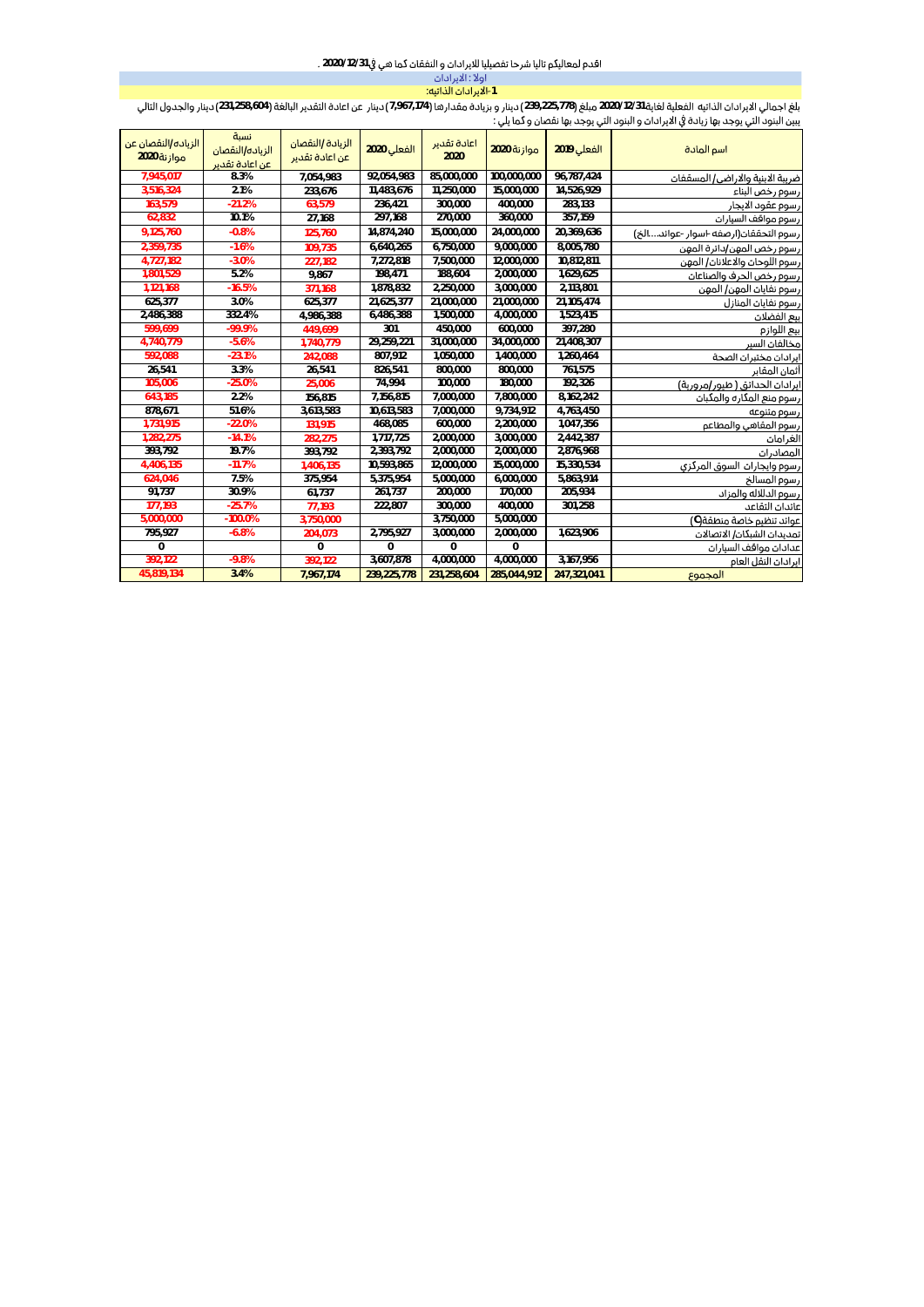# اقدم لمعاليكم تاليا شرحا تفصيليا للايرادات و النفقات كما هي في 2020/12/31 .

| اولاً : الايرادان    |
|----------------------|
| 1-الايرادان الذاتيه: |
|                      |

.<br>بلغ اجمالي الايرادات الذاتيه الفعلية لغاية 2020/12/31 مبلغ (239,225,778) دينار و بزيادة مقدارها (7,967,174) دينار 231,258,604 كونوا ما بريادة (231,258,604) دينار والجدول التالي<br>يبين البنود التي يوجد بها زيادة في الايراد

| الزياده/النقصان عن<br>موازنة 2020 | نسبة<br>الزياده/النقصان<br>عن اعادة تقدير | الزبادة /النقصان<br>عن اعادة تقدير | الفعلي 2020   | اعادة تقدير<br>2020 | موازنة 2020 | الفعلى 2019 | اسم المادة                            |
|-----------------------------------|-------------------------------------------|------------------------------------|---------------|---------------------|-------------|-------------|---------------------------------------|
| 7.945.017                         | 8.3%                                      | 7,054,983                          | 92,054,983    | 85,000,000          | 100,000,000 | 96,787,424  | ضريبة الابنية والاراضى/ المسقفات      |
| 3,516,324                         | 2.1%                                      | 233,676                            | 11,483,676    | 11,250,000          | 15,000,000  | 14,526,929  | رسوم رخص البناء                       |
| 163.579                           | $-21.2%$                                  | 63,579                             | 236,421       | 300,000             | 400,000     | 283,133     | رسوم عقود الابجار                     |
| 62,832                            | 10.1%                                     | 27,168                             | 297,168       | 270,000             | 360,000     | 357,159     | رسوم مواقف السيارات                   |
| 9,125,760                         | $-0.8%$                                   | 125,760                            | 14,874,240    | 15,000,000          | 24,000,000  | 20,369,636  | رسوم التحققان(ارصفه -اسوار -عوائدالخ) |
| 2,359,735                         | $-1.6%$                                   | 109,735                            | 6.640.265     | 6,750,000           | 9,000,000   | 8,005,780   | رسوم رخص المهن/دائرة المهن            |
| 4,727,182                         | $-3.0%$                                   | 227,182                            | 7,272,818     | 7,500,000           | 12,000,000  | 10,812,811  | رسوم اللوحات والاعلانات/ المهن        |
| 1,801,529                         | 5.2%                                      | 9,867                              | 198,471       | 188,604             | 2,000,000   | 1,629,625   | رسوم رخص الحرف والصناعات              |
| 1,121,168                         | $-16.5%$                                  | 371.168                            | 1,878,832     | 2,250,000           | 3,000,000   | 2,113,801   | رسوم نفايات المهن/ المهن              |
| 625,377                           | 3.0%                                      | 625,377                            | 21,625,377    | 21,000,000          | 21,000,000  | 21,105,474  | رسوم نفايات المنازل                   |
| 2,486,388                         | 332.4%                                    | 4,986,388                          | 6,486,388     | 1,500,000           | 4,000,000   | 1,523,415   | بيع الفضلات                           |
| 599,699                           | $-99.9%$                                  | 449,699                            | 301           | 450,000             | 600,000     | 397,280     | ببع اللوازم                           |
| 4,740,779                         | $-5.6%$                                   | 1,740,779                          | 29,259,221    | 31,000,000          | 34,000,000  | 21,408,307  | مخالفات السبر                         |
| 592,088                           | $-23.1%$                                  | 242,088                            | 807,912       | 1,050,000           | 1,400,000   | 1,260,464   | ابرادان مختبران الصحة                 |
| 26,541                            | 3.3%                                      | 26,541                             | 826,541       | 800,000             | 800,000     | 761,575     | أثمان المقابر                         |
| 105,006                           | $-25.0%$                                  | 25,006                             | 74,994        | 100,000             | 180,000     | 192,326     | ايرادات الحدائق ( طبور/مرورية)        |
| 643,185                           | 2.2%                                      | 156,815                            | 7,156,815     | 7,000,000           | 7,800,000   | 8,162,242   | رسوم منع المكاره والمكبات             |
| 878,671                           | 51.6%                                     | 3,613,583                          | 10,613,583    | 7,000,000           | 9,734,912   | 4,763,450   | رسوم متنوعه                           |
| 1,731,915                         | $-22.0%$                                  | 131,915                            | 468,085       | 600,000             | 2,200,000   | 1,047,356   | رسوم المقاهى والمطاعم                 |
| 1,282,275                         | $-14.1%$                                  | 282,275                            | 1,717,725     | 2,000,000           | 3,000,000   | 2,442,387   | الغرامات                              |
| 393,792                           | 19.7%                                     | 393,792                            | 2,393,792     | 2,000,000           | 2,000,000   | 2,876,968   | المصادرات                             |
| 4,406,135                         | $-11.7%$                                  | 1,406,135                          | 10,593,865    | 12,000,000          | 15,000,000  | 15,330,534  | رسوم وايجارات السوق المركزى           |
| 624,046                           | 7.5%                                      | 375,954                            | 5,375,954     | 5,000,000           | 6,000,000   | 5,863,914   | رسوم المسالخ                          |
| 91,737                            | 30.9%                                     | 61,737                             | 261,737       | 200,000             | 170,000     | 205,934     | رسوم الدللاله والمزاد                 |
| 177,193                           | $-25.7%$                                  | 77.193                             | 222,807       | 300,000             | 400,000     | 301,258     | عائدان التقاعد                        |
| 5,000,000                         | $-100.0%$                                 | 3,750,000                          |               | 3,750,000           | 5,000,000   |             | عوائد تنظيم خاصة منطقة(C)             |
| 795,927                           | $-6.8%$                                   | 204,073                            | 2,795,927     | 3,000,000           | 2,000,000   | 1,623,906   | تمديدان الشبكان/ الاتصالان            |
| $\mathbf{0}$                      |                                           | $\Omega$                           | $\Omega$      | $\Omega$            | $\mathbf 0$ |             | عدادات مواقف السيارات                 |
| 392,122                           | $-9.8%$                                   | 392,122                            | 3,607,878     | 4,000,000           | 4,000,000   | 3,167,956   | ايرادان النقل العام                   |
| 45,819,134                        | 3.4%                                      | 7,967,174                          | 239, 225, 778 | 231,258,604         | 285,044,912 | 247,321,041 | المجموع                               |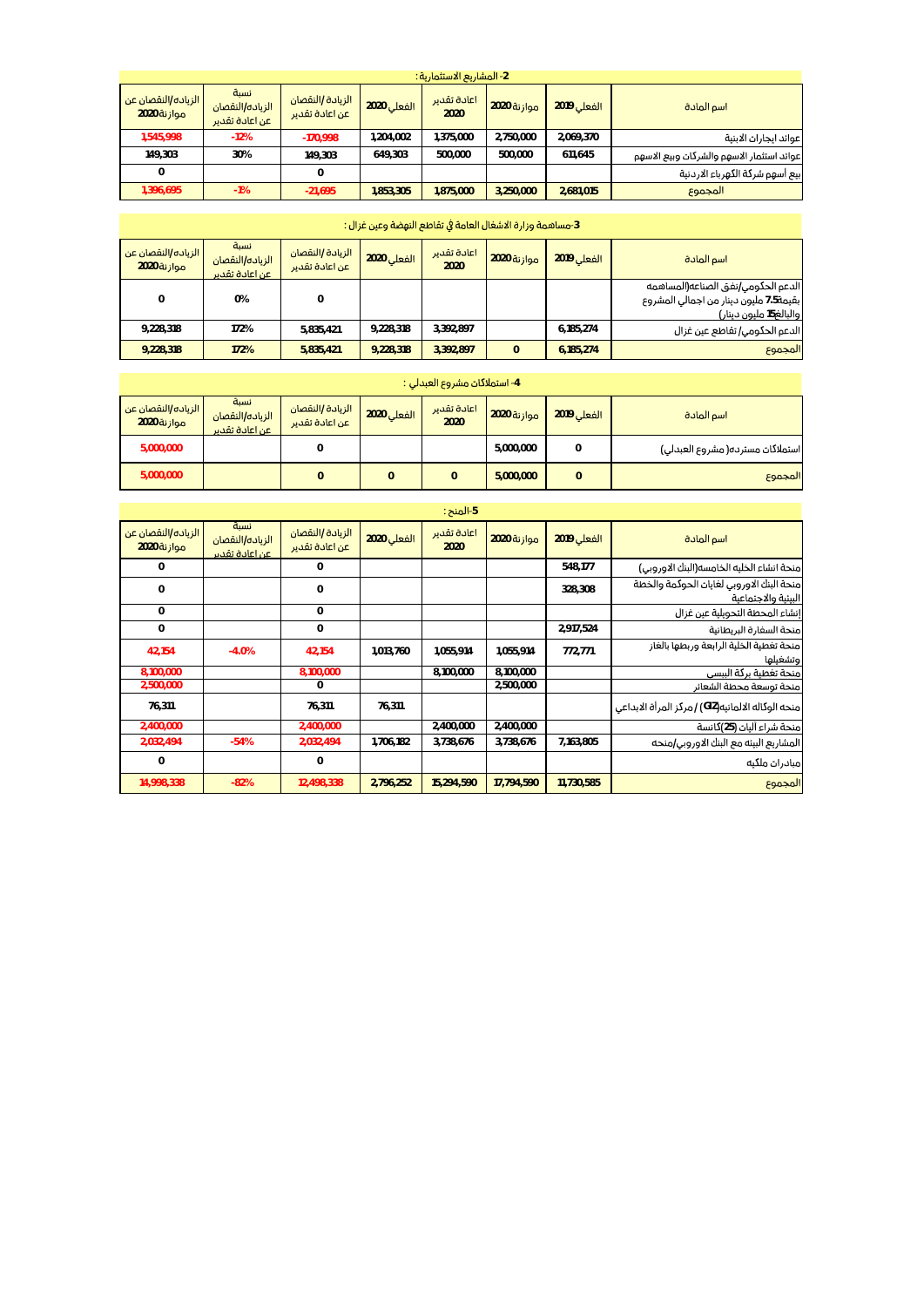|                                           | 2- المشاريع الاستثمارية : |                    |                     |             |                                    |                                           |                                   |  |  |  |
|-------------------------------------------|---------------------------|--------------------|---------------------|-------------|------------------------------------|-------------------------------------------|-----------------------------------|--|--|--|
| اسم المادة                                | <b>الفعلى 2019</b>        | <b>موازنة 2020</b> | اعادة تقدير<br>2020 | الفعلى 2020 | الزيادة /النقصان<br>عن اعادة تقدير | نسبة<br>الزباده/النقصان<br>عن اعادة تقدير | الزباده/النقصان عن<br>موازنة 2020 |  |  |  |
| عوائد ابجاران الابنية                     | 2.069.370                 | 2.750.000          | 1.375.000           | 1.204.002   | $-170.998$                         | $-12%$                                    | 1.545.998                         |  |  |  |
| عوائد استثمار الاسهم والشركات وبيع الاسهم | 611.645                   | 500.000            | 500.000             | 649.303     | 149.303                            | 30%                                       | 149.303                           |  |  |  |
| بيع أسهم شركة الكهرباء الاردنية           |                           |                    |                     |             | 0                                  |                                           |                                   |  |  |  |
| المجموع                                   | 2.681.015                 | 3.250.000          | 1.875.000           | 1.853.305   | $-21.695$                          | $-1%$                                     | 1,396,695                         |  |  |  |

| 3-مساهمة وزارة الاشغال العامة في تقاطع النهضة وعين غزال: |                                           |                                     |             |                     |             |                    |                                                                                                         |  |  |  |
|----------------------------------------------------------|-------------------------------------------|-------------------------------------|-------------|---------------------|-------------|--------------------|---------------------------------------------------------------------------------------------------------|--|--|--|
| <mark>  الزباده/النقصان عن</mark><br>موازنة 2020         | نسبة<br>الزباده/النقصان<br>عن اعادة تقدير | الزبادة /النقصان<br>اعن اعادة تقدير | الفعلى 2020 | اعادة تقدير<br>2020 | موازنة 2020 | <b>الفعلى 2019</b> | اسم المادة                                                                                              |  |  |  |
| 0                                                        | 0%                                        | 0                                   |             |                     |             |                    | الدعم الحكومى نفق الصناعه(المساهمه<br>بقيمة7.5 مليون دينار من اجمالى المشروع<br> والبالغ15 مليون دينار) |  |  |  |
| 9,228,318                                                | 172%                                      | 5.835.421                           | 9,228,318   | 3.392.897           |             | 6,185,274          | الدعم الحكومى/ تقاطع عين غزال                                                                           |  |  |  |
| 9,228,318                                                | 172%                                      | 5.835.421                           | 9.228.318   | 3.392.897           | $\Omega$    | 6.185.274          | المجموع                                                                                                 |  |  |  |

| 4- استملاكات مشروع العبدلي : ا   |             |             |                     |             |                                    |                                            |                                   |  |  |
|----------------------------------|-------------|-------------|---------------------|-------------|------------------------------------|--------------------------------------------|-----------------------------------|--|--|
| اسم المادة                       | الفعلى 2019 | موازنة 2020 | اعادة تقدير<br>2020 | الفعلى 2020 | الزبادة /النقصان<br>عن اعادة تقدير | نسبة<br>الزباده/النقصان<br>اعن اعادة تقدير | الزباده/النقصان عن<br>موازنة 2020 |  |  |
| استملاکات مسترده( مشروع العبدلی) | 0           | 5.000.000   |                     |             |                                    |                                            | 5,000,000                         |  |  |
| المجموع                          | 0           | 5,000,000   |                     | 0           |                                    |                                            | 5,000,000                         |  |  |

|                                                                  | 5-المنح :   |             |                     |             |                                    |                                           |                                   |  |  |  |
|------------------------------------------------------------------|-------------|-------------|---------------------|-------------|------------------------------------|-------------------------------------------|-----------------------------------|--|--|--|
| اسم المادة                                                       | الفعلى 2019 | موازنة 2020 | اعادة تقدير<br>2020 | الفعلى 2020 | الزبادة  النقصان<br>عن اعادة تقدير | نسبة<br>الزباده/النقصان<br>عن اعادة تقدير | الزياده/النقصان عن<br>موازنة 2020 |  |  |  |
| منحة انشاء الخليه الخامسه(البنك الاوروبي)                        | 548,177     |             |                     |             | 0                                  |                                           | $\mathbf{0}$                      |  |  |  |
| منحة البنك الاوروبي لغايان الحوكمة والخطة<br>البيئية والاجتماعية | 328,308     |             |                     |             | $\mathbf 0$                        |                                           | $\mathbf{0}$                      |  |  |  |
| إنشاء المحطة التحويلية عين غزال                                  |             |             |                     |             | $\mathbf{0}$                       |                                           | $\circ$                           |  |  |  |
| منحة السفارة البريطانية                                          | 2,917,524   |             |                     |             | $\Omega$                           |                                           | $\Omega$                          |  |  |  |
| منحة تغطية الخلية الرابعة وربطها بالغاز<br>وتشغيلها              | 772,771     | 1.055.914   | 1.055.914           | 1.013.760   | 42,154                             | $-4.0%$                                   | 42.154                            |  |  |  |
| منحة تغطية بركة الببسى                                           |             | 8,100,000   | 8,100,000           |             | 8,100,000                          |                                           | 8,100,000                         |  |  |  |
| منحة توسعة محطة الشعائر                                          |             | 2,500,000   |                     |             | 0                                  |                                           | 2,500,000                         |  |  |  |
| منحه الوكاله الالمانيه(GIZ) / مركز المرأة الابداعي               |             |             |                     | 76.311      | 76.311                             |                                           | 76,311                            |  |  |  |
| منحة شراء آليات (25)كانسة                                        |             | 2,400,000   | 2,400,000           |             | 2,400,000                          |                                           | 2,400,000                         |  |  |  |
| المشاريع البيئه مع البنك الاوروبي/منحه                           | 7,163,805   | 3,738,676   | 3,738,676           | 1,706,182   | 2,032,494                          | $-54%$                                    | 2,032,494                         |  |  |  |
| مبادرات ملكيه                                                    |             |             |                     |             | $\mathbf 0$                        |                                           | $\circ$                           |  |  |  |
| المجموع                                                          | 11,730,585  | 17.794.590  | 15,294,590          | 2,796,252   | 12,498,338                         | $-82%$                                    | 14,998,338                        |  |  |  |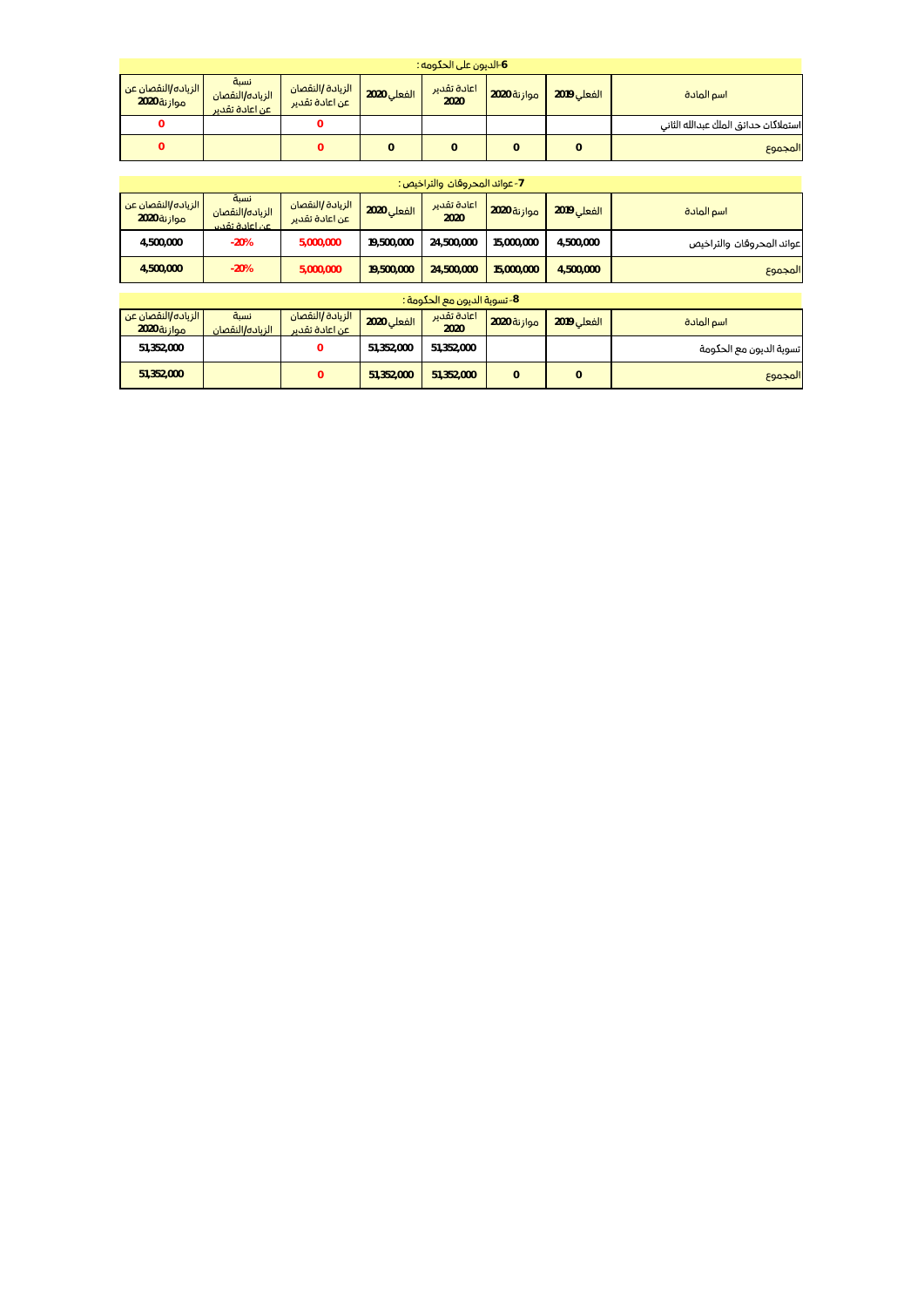| 6-الديون على الحكومه :              |                                             |                                    |             |                     |             |             |                                      |  |  |
|-------------------------------------|---------------------------------------------|------------------------------------|-------------|---------------------|-------------|-------------|--------------------------------------|--|--|
| الزياده/النقصان عن  <br>موازنة 2020 | نسبة<br>الزياده/النقصان<br>ا عن اعادة تقدير | الزبادة /النقصان<br>عن اعادة تقدير | الفعلى 2020 | اعادة تقدير<br>2020 | موازنة 2020 | الفعلى 2019 | اسم المادة                           |  |  |
|                                     |                                             |                                    |             |                     |             |             | استملاكات حدائق الملك عبدالله الثانى |  |  |
|                                     |                                             |                                    |             |                     |             |             | المجموع                              |  |  |

| 7- عوائد المحروفان والتراخيص: |             |             |                     |             |                                    |                                            |                                   |  |  |
|-------------------------------|-------------|-------------|---------------------|-------------|------------------------------------|--------------------------------------------|-----------------------------------|--|--|
| اسم المادة                    | الفعلى 2019 | موازنة 2020 | اعادة تقدير<br>2020 | الفعلى 2020 | الزيادة /النقصان<br>عن اعادة تقدير | نسبة<br>الزياده/النقصان<br>اعن اعادة تقدير | الزباده/النقصان عن<br>موازنة 2020 |  |  |
| عوائد المحروقان والتراخيص     | 4,500,000   | 15,000,000  | 24,500,000          | 19,500,000  | 5.000.000                          | $-20%$                                     | 4,500,000                         |  |  |
| المجموع                       | 4,500,000   | 15,000,000  | 24,500,000          | 19,500,000  | 5,000,000                          | $-20%$                                     | 4,500,000                         |  |  |

| 8- تسوية الديون مع الحكومة : |             |             |                     |             |                                    |                         |                                      |  |  |  |
|------------------------------|-------------|-------------|---------------------|-------------|------------------------------------|-------------------------|--------------------------------------|--|--|--|
| اسم المادة                   | الفعلى 2019 | موازنة 2020 | اعادة تقدير<br>2020 | الفعلى 2020 | الزبادة /النقصان<br>عن اعادة تقدير | نسبة<br>الزباده/النقصان | الزياده/النقصان عن   <br>موازنة 2020 |  |  |  |
| رتسوية الديون مع الحكومة     |             |             | 51.352.000          | 51.352.000  |                                    |                         | 51.352.000                           |  |  |  |
| المجموع                      | 0           |             | 51.352.000          | 51.352.000  |                                    |                         | 51,352,000                           |  |  |  |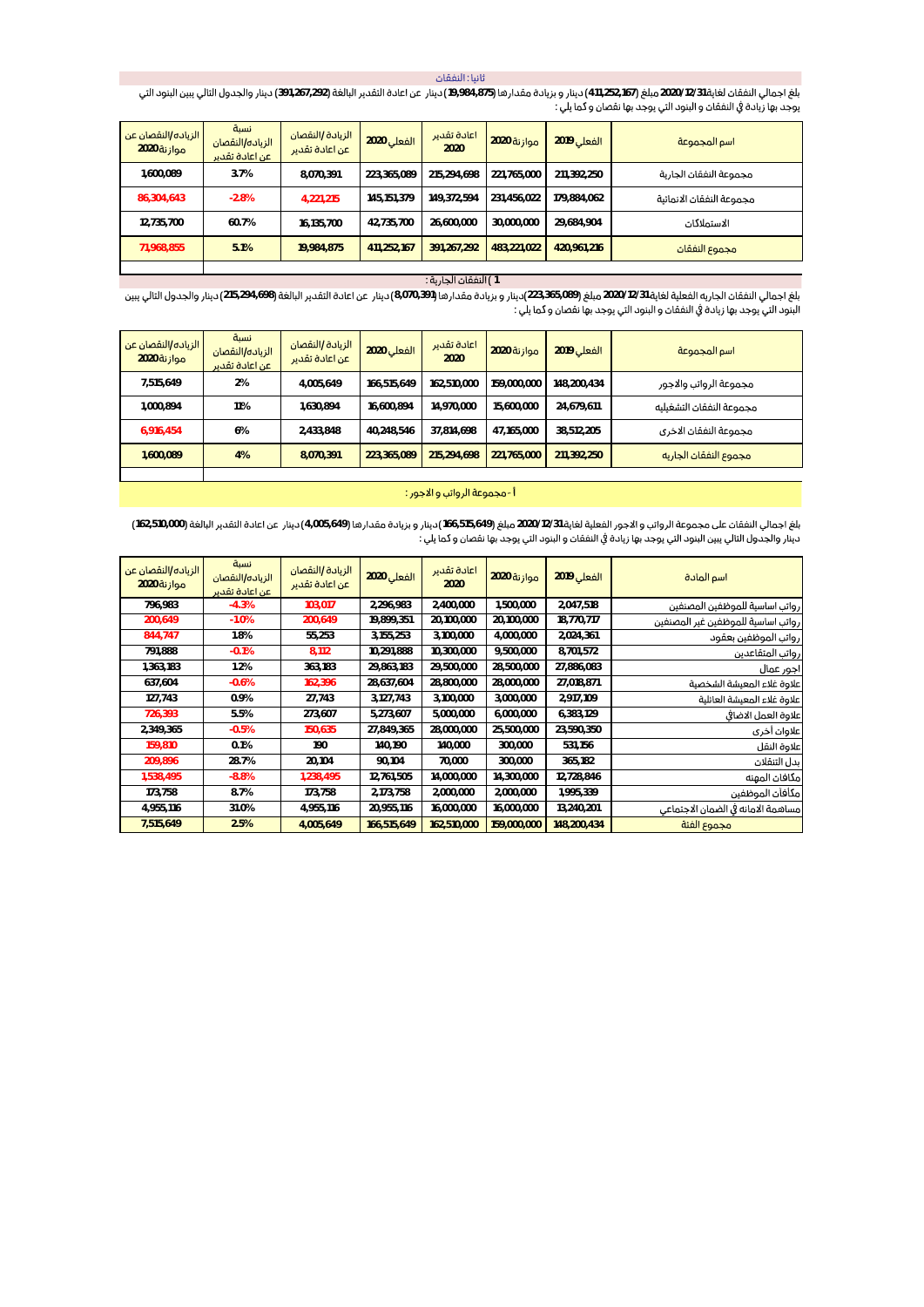ثانيا : النفقات

بلغ اجمالي النفقات لغاية 2020/12/31 مبلغ (411,252,167) دينار و بزيادة مقدارها (875,875) دينار عن اعادة التقدير البالغة (391,267,292) دينار والجدول التالي يبين البنود التي<br>يوجد بها زيادة في النفقات و البنود التي يوجد بها ن

| الزباده/النقصان عن<br>موازنة 2020 | نسبة<br>الزباده/النقصان<br>. عن اعادة تقدير | الزيادة /النقصان<br>اعن اعادة تقدير | الفعلى 2020 | اعادة تقدير<br>2020 | <b>موازنة 2020</b> | <b>الفعلى 2019</b> | اسم المجموعة             |
|-----------------------------------|---------------------------------------------|-------------------------------------|-------------|---------------------|--------------------|--------------------|--------------------------|
| <b>000,089</b>                    | 3.7%                                        | 8.070.391                           | 223.365.089 | 215.294.698         | 221,765,000        | 211,392,250        | مجموعة النفقان الجارية   |
| 86,304,643                        | $-2.8%$                                     | 4.221.215                           | 145.151.379 | 149.372.594         | 231,456,022        | 179,884,062        | مجموعة النفقات الانمائية |
| 12,735,700                        | 60.7%                                       | 16.135.700                          | 42,735,700  | 26.600.000          | 30.000.000         | 29,684,904         | الاستملاكات              |
| 71,968,855                        | 5.1%                                        | 19.984.875                          | 411.252.167 | 391.267.292         | 483,221,022        | 420,961,216        | مجموع النفقات            |

## 1 ) النفقان الجارية :

بلغ اجمالي النفقات الجاريه الفعلية لغاية 2020/12/31 مبلغ (223,365,089) ينار وبزيادة مقدارها (3,070,391) دينار عن اعادة التقدير البالغة (218,294,698) دينار والجدول التالي ببين البنود التي يوجد بها زيادة في النفقات و البنود التي يوجد بها نقصان و كما يلي :

| الزباده/النقصان عن<br>موازنة 2020 | نسبة<br>الزباده/النقصان<br>عن اعادة تقدير | الزيادة /النقصان<br>عن اعادة تقدير | الفعلى 2020 | اعادة تقدير<br>2020 | موازنة 2020 | الفعلى 2019 | اسم المجموعة             |
|-----------------------------------|-------------------------------------------|------------------------------------|-------------|---------------------|-------------|-------------|--------------------------|
| 7.515.649                         | 2%                                        | 4.005.649                          | 166.515.649 | 162.510.000         | 159.000.000 | 148.200.434 | مجموعة الرواتب والاجور   |
| 1,000,894                         | 11%                                       | 1.630.894                          | 16.600.894  | 14.970.000          | 15,600,000  | 24.679.611  | مجموعة النفقات التشغىليه |
| 6.916.454                         | 6%                                        | 2.433.848                          | 40.248.546  | 37.814.698          | 47.165.000  | 38.512.205  | مجموعة النفقات الاخرى    |
| 1.600.089                         | 4%                                        | 8.070.391                          | 223.365.089 | 215.294.698         | 221.765.000 | 211.392.250 | مجموع النفقان الجاريه    |
|                                   |                                           |                                    |             |                     |             |             |                          |

#### أ-مجموعة الرواتب و الاجور :

بلغ اجمالي النفقان على مجموعة الرواتب و الاجور الفعلية لغاية 2020/12/31 مبلغ (166,515,649 دينار و بزيادة مقدارها (4,005,649 دينار عن اعادة التقدير البالغة (162,510,000) (162,510,000 .<br>دينار والجدول التالي يبين البنود التي يوجد بها زيادة في النفقات و البنود التي يوجد بها نقصان و كما يلي :

| الزياده/النقصان عن<br>موازنة 2020 | نسبة<br>الزياده/النقصان<br>عن اعادة تقدير | الزيادة /النقصان<br>عن اعادة تقدير | الفعلى 2020 | اعادة تقدير<br>2020 | موازنة 2020 | الفعلى 2019 | اسم المادة                         |
|-----------------------------------|-------------------------------------------|------------------------------------|-------------|---------------------|-------------|-------------|------------------------------------|
| 796.983                           | $-4.3%$                                   | 103,017                            | 2,296,983   | 2,400,000           | 1,500,000   | 2,047,518   | ارواتب اساسية للموظفين المصنفين    |
| 200,649                           | $-1.0%$                                   | 200,649                            | 19,899,351  | 20,100,000          | 20,100,000  | 18,770,717  | رواتى اساسية للموظفين غير المصنفين |
| 844,747                           | 1.8%                                      | 55,253                             | 3,155,253   | 3,100,000           | 4,000,000   | 2,024,361   | رواتب الموظفين بعقود               |
| 791.888                           | $-0.1%$                                   | 8,112                              | 10,291,888  | 10.300.000          | 9,500,000   | 8,701,572   | ارواتب المتقاعدين                  |
| 1,363,183                         | 1.2%                                      | 363,183                            | 29,863,183  | 29,500,000          | 28,500,000  | 27,886,083  | اجور عمال                          |
| 637.604                           | $-0.6%$                                   | 162,396                            | 28,637,604  | 28,800,000          | 28,000,000  | 27,018,871  | اعلاوة غلاء المعيشة الشخصية        |
| 127,743                           | 0.9%                                      | 27,743                             | 3,127,743   | 3,100,000           | 3,000,000   | 2,917,109   | اعلاوة غلاء المعيشة العائلية       |
| 726,393                           | 5.5%                                      | 273,607                            | 5,273,607   | 5.000.000           | 6,000,000   | 6,383,129   | علاوة العمل الاضافى                |
| 2,349,365                         | $-0.5%$                                   | 150,635                            | 27,849,365  | 28,000,000          | 25,500,000  | 23,590,350  | علاوات أخرى                        |
| 159,810                           | 0.1%                                      | 190                                | 140,190     | 140,000             | 300,000     | 531,156     | علاوة النقل                        |
| 209,896                           | 28.7%                                     | 20,104                             | 90,104      | 70,000              | 300,000     | 365,182     | ىدل التنقلات                       |
| 1,538,495                         | $-8.8%$                                   | 1,238,495                          | 12,761,505  | 14,000,000          | 14,300,000  | 12,728,846  | امكافان المهنه                     |
| 173.758                           | 8.7%                                      | 173.758                            | 2,173,758   | 2.000.000           | 2,000,000   | 1,995,339   | أمكأفآت الموظفين                   |
| 4,955,116                         | 31.0%                                     | 4,955,116                          | 20,955,116  | 16,000,000          | 16,000,000  | 13,240,201  | مساهمة الامانه فى الضمان الاجتماعى |
| 7,515,649                         | 2.5%                                      | 4,005,649                          | 166,515,649 | 162,510,000         | 159,000,000 | 148,200,434 | مجموع الفئة                        |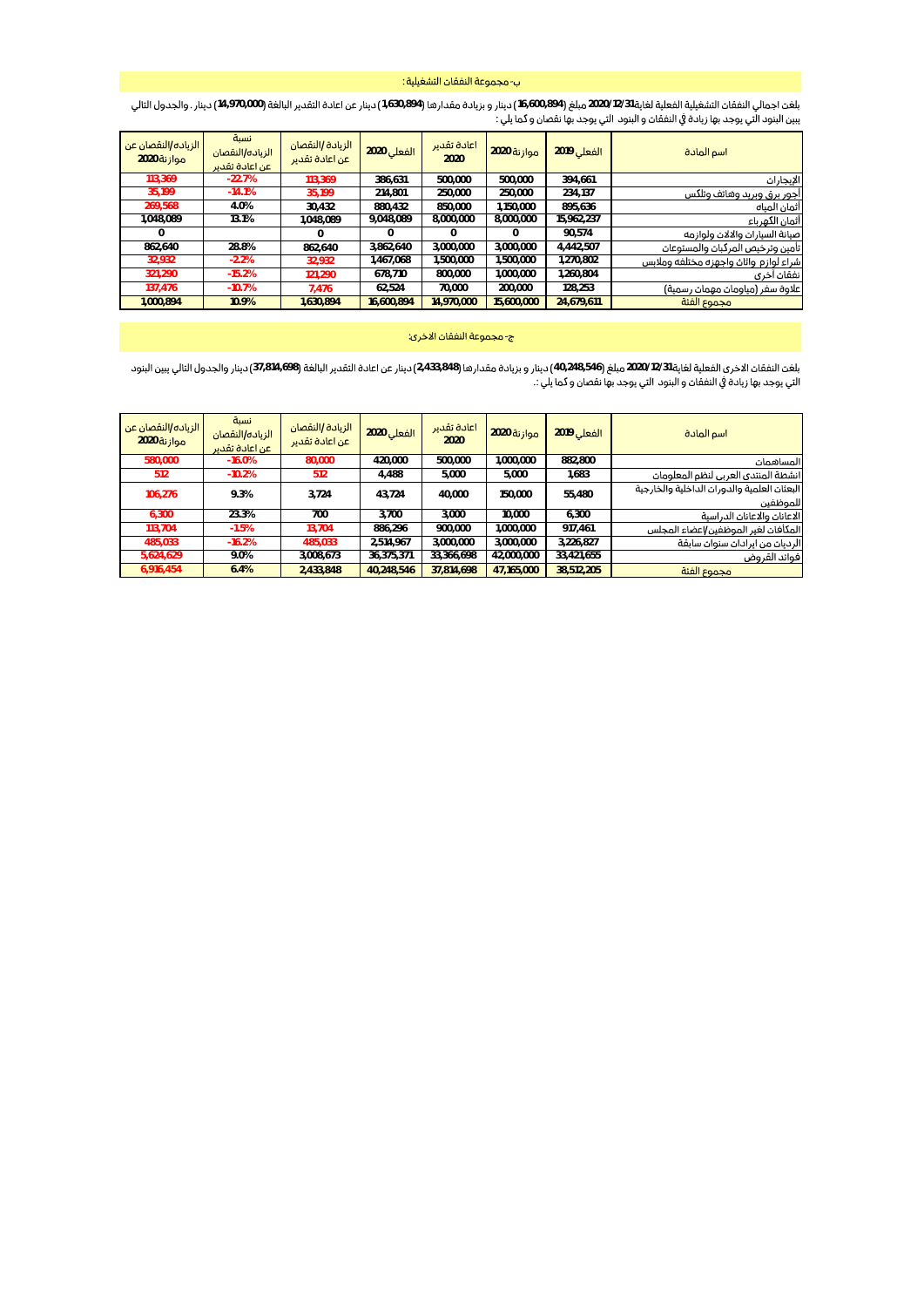## ب- مجموعة النفقات التشغيلية :

بلغت اجمالي النفقات التشغيلية الفعلية لغاية 2020/12/31 مبلغ (16,600,894) دينادة مقدارها (1,630,894) دينار عن اعادة التقدير البالغة (14,970,000) دينار . والجدول التالي<br>يبين البنود التي يوجد بها زيادة في النفقات و البنود ال

| الفعلى 2019<br>اسم المادة                         | <b>موازنة 2020</b> | اعادة تقدير<br>2020 | الفعلى 2020 | الزبادة /النقصان<br>عن اعادة تقدير | نسة<br>الزباده/النقصان<br>عن اعادة تقدير | الزياده/النقصان عن<br>موازنة 2020 |
|---------------------------------------------------|--------------------|---------------------|-------------|------------------------------------|------------------------------------------|-----------------------------------|
| 394.661<br>الإيجاران                              | 500.000            | 500.000             | 386.631     | 113.369                            | $-22.7%$                                 | 113.369                           |
| 234.137<br>اجور برق وبريد وهاتف وتلكس             | 250,000            | 250.000             | 214.801     | 35.199                             | $-14.1%$                                 | 35.199                            |
| 895.636<br>أثمان المباه                           | 1.150.000          | 850.000             | 880.432     | 30.432                             | 4.0%                                     | 269.568                           |
| 15.962.237<br>أثمان الكهرباء                      | 8,000,000          | 8.000.000           | 9,048,089   | 1.048.089                          | 13.1%                                    | 1.048.089                         |
| 90.574<br>صيانة السيارات والالات ولوازمه          |                    | $\Omega$            | 0           | 0                                  |                                          | $\Omega$                          |
| 4.442.507<br>تأمين وترخيص المركبات والمستوعات     | 3.000.000          | 3.000.000           | 3.862.640   | 862.640                            | 28.8%                                    | 862.640                           |
| .270.802<br>شراء لوازم واثاث واجهزه مختلفه وملابس | ,500,000           | 1,500,000           | ,467,068    | 32.932                             | $-2.2%$                                  | 32,932                            |
| .260.804<br>نفقان آخرى                            | 000,000            | 800.000             | 678.710     | 121.290                            | $-15.2%$                                 | 321.290                           |
| 128.253<br>رعلاوة سفر (مياومات مهمات رسمية)       | 200.000            | 70.000              | 62.524      | 7.476                              | $-10.7%$                                 | 137.476                           |
| مجموع الفئة<br>24.679.611                         | 15,600,000         | 14,970,000          | 16.600.894  | 1.630.894                          | 10.9%                                    | 1.000.894                         |

#### ج-مجموعة النفقان الاخرى:

بلغت النفقات الاخرى الفعلية لغاية 2020/12/31 مبلغ (48,546,44) دينار و بزيادة مقدارها (2,433,848) دينار عن اعادة التقدير البالغة (37,814,698) دينار والجدول التالي يبين البنود التي بوجد بها زيادة في النفقات و البنود التي بوجد بها نفصان و كما بِلي :.

| اسم المادة                                              | <b>الفعلى 2019</b> | موازنة 2020 | اعادة تقدير<br>2020 | الفعلى 2020 | الزبادة /النقصان<br>عن اعادة تقدير | نسبة<br>الزباده/النقصان<br>عن اعادة تقدير | الزباده/النقصان عن<br>موازنة 2020 |
|---------------------------------------------------------|--------------------|-------------|---------------------|-------------|------------------------------------|-------------------------------------------|-----------------------------------|
| المساهمات                                               | 882.800            | ,000,000    | 500.000             | 420,000     | 80,000                             | $-16.0%$                                  | 580,000                           |
| انشطة المنتدى العربى لنظم المعلومات                     | 1.683              | 5.000       | 5.000               | 4.488       | 512                                | $-10.2%$                                  | 512                               |
| البعثان العلمية والدوران الداخلية والخارجية<br>للموظفين | 55.480             | 150.000     | 40.000              | 43.724      | 3.724                              | 9.3%                                      | 106.276                           |
| الاعانان والاعانان الدراسية                             | 6.300              | 10.000      | 3.000               | 3.700       | 700                                | 23.3%                                     | 6.300                             |
| المكأفات لغير الموظفين/اعضاء المجلس                     | 917.461            | .000.000    | 900.000             | 886.296     | 13.704                             | $-1.5%$                                   | 113,704                           |
| الرديات من ايرادات سنوات سابقة                          | 3,226,827          | 3,000,000   | 3.000.000           | 2.514.967   | 485.033                            | $-16.2%$                                  | 485.033                           |
| فوائد القروض                                            | 33,421,655         | 42,000,000  | 33.366.698          | 36,375,371  | 3.008.673                          | 9.0%                                      | 5,624,629                         |
| مجموع الفئة                                             | 38.512.205         | 47.165.000  | 37.814.698          | 40.248.546  | 2.433.848                          | 6.4%                                      | 6,916,454                         |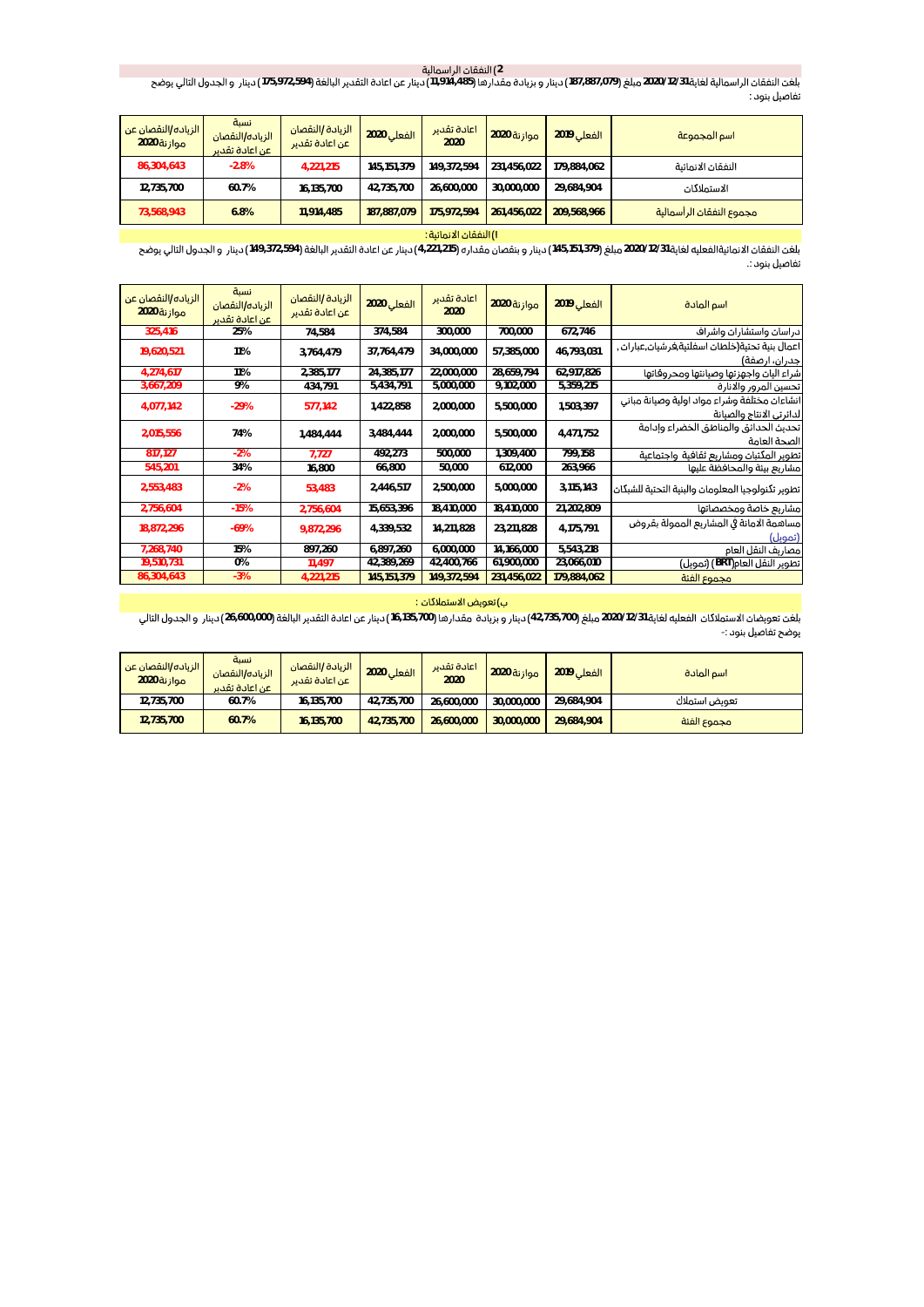2) النفقات الراسمالية<br>2020/12/31 مبلغ (87,887,079) دينار و بزيادة مقدارها (11,914,485) دينار عن اعادة التقدير البالغة (972,594,175 .<br>تفاصيل بنود :

| الزباده/النقصان عن<br>موازنة 2020 | نسبة<br>الزياده/النقصان<br>عن اعادة تقدير | الزيادة /النقصان<br>اعن اعادة تقدير | الفعلى 2020 | اعادة تقدير<br>2020 | موازنة 2020 | <b>الفعلى 2019</b> | اسم المجموعة             |
|-----------------------------------|-------------------------------------------|-------------------------------------|-------------|---------------------|-------------|--------------------|--------------------------|
| 86,304,643                        | $-2.8%$                                   | 4.221.215                           | 145.151.379 | 149.372.594         | 231,456,022 | 179.884.062        | النفقان الانمائية        |
| 12,735,700                        | 60.7%                                     | 16.135.700                          | 42.735.700  | 26.600.000          | 30,000,000  | 29.684.904         | الاستملاكات              |
| 73.568.943                        | 6.8%                                      | 11.914.485                          | 187.887.079 | 175.972.594         | 261.456.022 | 209.568.966        | مجموع النفقات الرأسمالية |

#### I) النفقات الانمائية :

بلغت النفقات الانمائيةالفعليه لغاية 2020/12/31 مبلغ (145,151,379) دينار و بنقصان مقداره (4,221,215) دينار عن اعادة التقدير البالغة (372,594) دينار و الجدول التالي يوضح .<br>تفاصيل بنود :.

| الزياده/النقصان عن<br>موازنة 2020 | نسبة<br>الزباده/النقصان<br>عن اعادة تقدير | الزيادة /النقصان<br>عن اعادة تقدير | الفعلى 2020   | اعادة تقدير<br>2020 | موازنة 2020 | الفعلى 2019 | اسم المادة                                        |
|-----------------------------------|-------------------------------------------|------------------------------------|---------------|---------------------|-------------|-------------|---------------------------------------------------|
| 325,416                           | 25%                                       | 74,584                             | 374,584       | 300,000             | 700,000     | 672.746     | دراسات واستشارات واشراف                           |
| 19,620,521                        | 11%                                       | 3,764,479                          | 37,764,479    | 34,000,000          | 57,385,000  | 46,793,031  | اعمال بنية تحتية(خلطات اسفلتية,فر شيات,عبار ات ,  |
|                                   |                                           |                                    |               |                     |             |             | جدران، ارصفة)                                     |
| 4,274,617                         | 11%                                       | 2,385,177                          | 24,385,177    | 22,000,000          | 28,659,794  | 62,917,826  | شراء اليات واجهزتها وصيانتها ومحروقاتها           |
| 3,667,209                         | 9%                                        | 434,791                            | 5,434,791     | 5,000,000           | 9,102,000   | 5,359,215   | تحسين المرور والانارة                             |
| 4,077,142                         | $-29%$                                    | 577,142                            | 1,422,858     | 2,000,000           | 5,500,000   | 1,503,397   | انشاءات مختلفة وشراء مواد اولية وصيانة مبانى      |
|                                   |                                           |                                    |               |                     |             |             | لدائرتي الانتاج والصيانة                          |
| 2,015,556                         | 74%                                       | 1,484,444                          | 3,484,444     | 2,000,000           | 5,500,000   | 4,471,752   | تحديث الحدائق والمناطق الخضراء وإدامة             |
|                                   |                                           |                                    |               |                     |             |             | الصحة العامة                                      |
| 817,127                           | $-2%$                                     | 7.727                              | 492,273       | 500,000             | 1,309,400   | 799,158     | تطوير المكتبات ومشاريع ثقافية واجتماعية           |
| 545,201                           | 34%                                       | 16,800                             | 66,800        | 50,000              | 612,000     | 263,966     | مشاريع بيئة والمحافظة علىها                       |
| 2,553,483                         | $-2%$                                     | 53.483                             | 2,446,517     | 2,500,000           | 5.000.000   | 3,115,143   | تطوير تكنولوجيا المعلومات والبنية التحتية للشبكات |
| 2,756,604                         | $-15%$                                    | 2,756,604                          | 15,653,396    | 18,410,000          | 18,410,000  | 21,202,809  | مشاريع خاصة ومخصصاتها                             |
| 18,872,296                        | $-69%$                                    | 9,872,296                          | 4,339,532     | 14,211,828          | 23,211,828  | 4,175,791   | مساهمة الامانة فى المشاريع الممولة بقروض          |
| 7,268,740                         | 15%                                       | 897,260                            | 6,897,260     | 6,000,000           | 14,166,000  | 5,543,218   | (تمويل)<br>مصاريف النقل العام                     |
| 19,510,731                        | 0%                                        | 11,497                             | 42,389,269    | 42,400,766          | 61,900,000  | 23,066,010  | تطوير النقل العام(BRT) (تمويل)                    |
| 86,304,643                        | $-3%$                                     |                                    |               |                     |             |             |                                                   |
|                                   |                                           | 4,221,215                          | 145, 151, 379 | 149,372,594         | 231,456,022 | 179,884,062 | مجموع الفئة                                       |

## ب) تعويض الاستملاكات :

بلغت تعويضات الاستملاكات الفعليه لغاية 2020/12/31 26,735,700 دينار و بزيادة مقدارها (135,700) دينار عن اعادة التقدير البالغة (26,600,000 دينار و الجدول التالي یوضح تفاصیل بنود :-

| الزياده/النقصان عن<br>موازنة 2020 | نسبة<br>الزباده/النقصان<br>اعن اعادة تقدير | الزيادة /النقصان<br>اعن اعادة تقدير | <b>الفعلى 2020</b> | اعادة تقدير<br>2020 | <b>موازنة 2020</b> | <b>الفعلى 2019</b> | أاسم المادة   |
|-----------------------------------|--------------------------------------------|-------------------------------------|--------------------|---------------------|--------------------|--------------------|---------------|
| 12.735.700                        | 60.7%                                      | 16.135.700                          | 42.735.700         | 26.600.000          | 30,000,000         | 29.684.904         | تعويض استملاك |
| 12.735.700                        | 60.7%                                      | 16,135,700                          | 42.735.700         | 26.600.000          | 30,000,000         | 29.684.904         | مجموع الفئة   |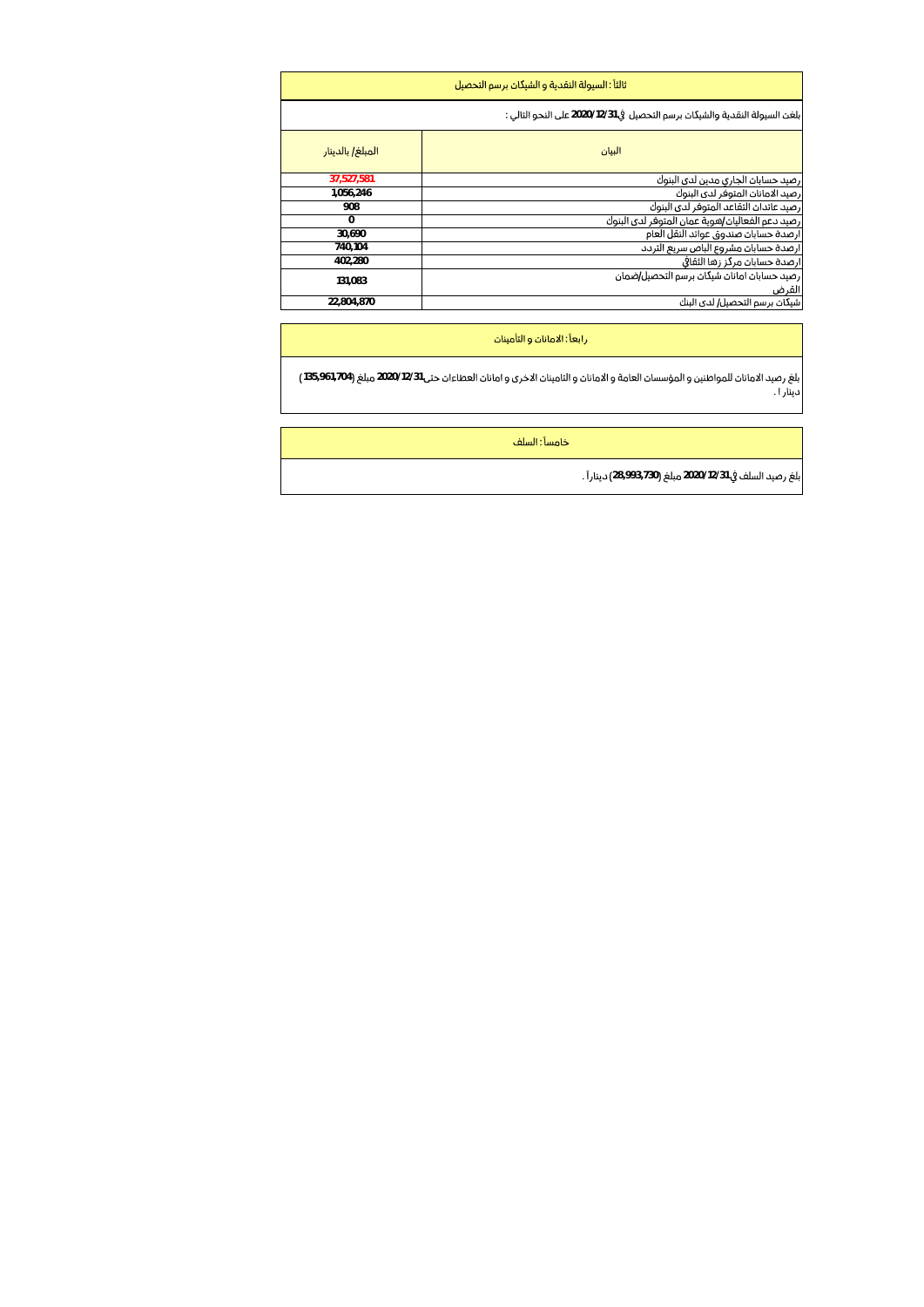|                  | ثالثاً : السبولة النقدية و الشبكات برسم التحصيل                             |
|------------------|-----------------------------------------------------------------------------|
|                  | بلغت السبولة النقدية والشيكات برسم التحصيل في 2020/12/31 على النحو التالي : |
| المبلغ/ بالدينار | البيان                                                                      |
| 37,527,581       | ارصيد حسابات الجارى مدين لدى البنوك                                         |
| 1,056,246        | رصيد الامانات المتوفر لدى البنوك                                            |
| 908              | رصيد عائدات التقاعد المتوفر لدى البنوك                                      |
| $\Omega$         | رصيد دعم الفعاليات/هوية عمان المتوفر لدى البنوك                             |
| 30.690           | ارصدة حسابات صندوق عوائد النقل العام                                        |
| 740.104          | ارصدة حسابات مشروع الباص سربع التردد                                        |
| 402.280          | ارصدة حسابات مركز زها الثقافى                                               |
| 131.083          | رصيد حسابات امانات شيكات برسم التحصيل/ضمان<br>القرض                         |
| 22.804.870       | شیکات برسم التحصیل/ لدی البنك                                               |

رابعاً : الامانان و التأمينان

135,961,704 2020/12/31

خامساً : السلف

بلغ رصيد السلف في 2020/12/31 مبلغ (730,993,730) ديناراً .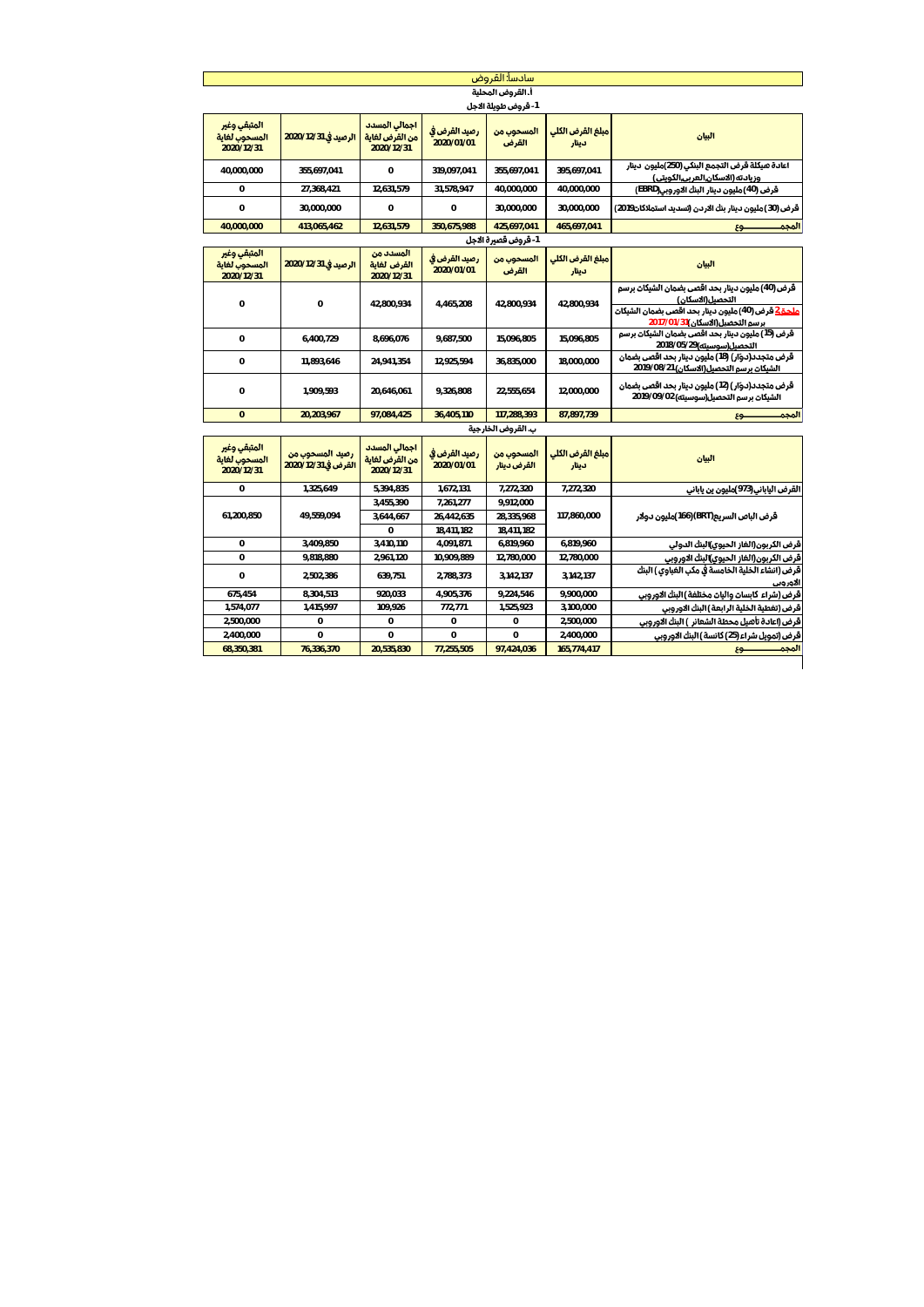| أ. القروض المحلبة<br>1 <b>- قروض طويلة الاجل</b><br>اجمالي المسدد<br>المتبقى وغير<br>رصيد القرض في<br>مبلغ القرض الكلي<br>المسحوب من<br>البيان<br>المسحوب لغاية<br>الرصيد في 2020/12/31<br>من القرض لغاية<br>2020/01/01<br>القرض<br>دينار<br>2020/12/31<br>2020/12/31<br>اعادة هيكلة قرض التجمع البنكي (250)مليون دينار<br>40.000.000<br>355.697.041<br>$\circ$<br>319.097.041<br>355.697.041<br>395.697.041<br>وزيادته (الاسكان,العربي,الكويتي)<br>12.631.579<br>قرض (40) مليون دينار البنك الاوروبي(EBRD)<br>0<br>27,368,421<br>31.578.947<br>40,000,000<br>40,000,000<br>$\mathbf 0$<br>$\mathbf 0$<br>$\mathbf 0$<br>30.000.000<br>30.000.000<br>30.000.000<br>قرض (30) مليون دينار بنك الاردن (تسديد استملاكات2019)<br>12,631,579<br>350,675,988<br>40,000,000<br>413,065,462<br>425,697,041<br>465,697,041<br>المجم<br>$59 -$<br>1- قروض قصيرة الاجل<br>المتبقى وغير<br>المسدد من<br>رصيد القرض في<br>المسحوب من<br>مبلغ القرض الكلي<br>الرصيد في 2020/12/31<br>البيان<br>المسحوب لغاية<br>القرض لغاية<br>2020/01/01<br>القرض<br>دينار<br>2020/12/31<br>2020/12/31<br>قرض (40) مليون دينار بحد اقصى بضمان الشيكات برسم<br>التحصيل(الاسكان)<br>$\Omega$<br>$\Omega$<br>42.800.934<br>4.465.208<br>42.800.934<br>42,800,934<br><u>ملحـة 2</u> قرض (40)مليون دينار بحد اقصي بضمان الشيكات<br>برسم التحصيل(الاسكان)31/01/701/2<br>قرض (15) مليون دينار بحد اقصى بضمان الشيكات برسم<br>$\mathbf{0}$<br>8.696.076<br>9.687.500<br>15.096.805<br>15.096.805<br>6.400.729<br><b>التحصيل(سوسيته)</b> 2018/05/29<br>قرض متجدد(دوّار) (18) ملیون دینار بحد اقصی بضمان<br>$\Omega$<br>24.941.354<br>12.925.594<br>36.835.000<br>18.000.000<br>11.893.646<br><b>الشيكات برسم التحصيل(الاسكان)</b> 2019/08/2 <b>1</b><br>قرض متجدد(دوّار) (12) مليون دينار بحد اقصى بضمان<br>$\mathbf{0}$<br>20.646.061<br>9.326.808<br>22.555.654<br>12.000.000<br>1,909,593<br><b>الشيكات برسم التحصيل(سوسيته)</b> 09/09/09/2019<br>87,897,739<br>المجم<br>20,203,967<br>97,084,425<br>36,405,110<br>117.288.393<br>$\Omega$<br>$59 -$<br>ب. القروض الخارجية<br>المتبقى وغير<br>اجمالي المسدد<br>رصيد القرض في<br>المسحوب من<br>مبلغ القرض الكلي<br>رصيد المسحوب من<br>البيان<br>المسحون لغاية<br>من القرض لغاية<br>2020/01/01<br>القرض في 12/31/2020/12<br>القرض دينار<br>دينار<br>2020/12/31<br>2020/12/31<br>1,325,649<br>5,394,835<br>1,672,131<br>7,272,320<br>7,272,320<br>القرض الياباني(973)مليون ين ياباني<br>$\circ$<br>7.261.277<br>3.455.390<br>9.912.000<br>61.200.850<br>49.559.094<br>117.860.000<br>قرض الباص السريع(BRT)(166 <b>)مليون دولار</b><br>3,644,667<br>26,442,635<br>28,335,968<br>$\Omega$<br>18.411.182<br>18.411.182<br>3,409,850<br>4,091,871<br>6,819,960<br>6,819,960<br>$\mathbf{0}$<br>3,410,110<br>قرض الكربون(الغاز الحيوى)البنك الدولي<br>$\Omega$<br>2.961.120<br>10.909.889<br>12.780.000<br>قرض الكربون(الغاز الحيوى)البنك الاوروبى<br>9.818.880<br>12.780.000<br>قرض (انشاء الخلية الخامسة في مكب الغباوي ) البنك<br>$\Omega$<br>2,502,386<br>639.751<br>2,788,373<br>3,142,137<br>3,142,137<br>الاوروبي<br>675,454<br>8,304,513<br>920,033<br>4,905,376<br>9,224,546<br>9,900,000<br>قرض (شراء كابسان واليان مختلفة ) البنك الاوروبي<br>1,574,077<br>1.415.997<br>109,926<br>772,771<br>1,525,923<br>3,100,000<br>قرض (تغطية الخلية الرابعة ) البنك الاوروبى<br>2.500.000<br>$\overline{0}$<br>2,500,000<br>$\mathbf 0$<br>$\circ$<br>$\mathbf{0}$<br>قرض (اعادة تأهيل محطة الشعائر ) البنك الاوروبي<br>2,400,000<br>$\Omega$<br>$\circ$<br>0<br>$\overline{0}$<br>2,400,000<br>قرض (تمويل شراء (25) كانسة ) البنك الاوروبي<br>68,350,381<br>165,774,417<br>المجم<br>76,336,370<br>20,535,830<br>77,255,505<br>97.424.036<br>$-63$ |  | سادسآ: القروض |  |  |
|---------------------------------------------------------------------------------------------------------------------------------------------------------------------------------------------------------------------------------------------------------------------------------------------------------------------------------------------------------------------------------------------------------------------------------------------------------------------------------------------------------------------------------------------------------------------------------------------------------------------------------------------------------------------------------------------------------------------------------------------------------------------------------------------------------------------------------------------------------------------------------------------------------------------------------------------------------------------------------------------------------------------------------------------------------------------------------------------------------------------------------------------------------------------------------------------------------------------------------------------------------------------------------------------------------------------------------------------------------------------------------------------------------------------------------------------------------------------------------------------------------------------------------------------------------------------------------------------------------------------------------------------------------------------------------------------------------------------------------------------------------------------------------------------------------------------------------------------------------------------------------------------------------------------------------------------------------------------------------------------------------------------------------------------------------------------------------------------------------------------------------------------------------------------------------------------------------------------------------------------------------------------------------------------------------------------------------------------------------------------------------------------------------------------------------------------------------------------------------------------------------------------------------------------------------------------------------------------------------------------------------------------------------------------------------------------------------------------------------------------------------------------------------------------------------------------------------------------------------------------------------------------------------------------------------------------------------------------------------------------------------------------------------------------------------------------------------------------------------------------------------------------------------------------------------------------------------------------------------------------------------------------------------------------------------------------------------------------------------------------------------------------------------------------------------------------------------------------------------------------------------------------------------------------------------------------------------------------------------------------------------------------------------|--|---------------|--|--|
|                                                                                                                                                                                                                                                                                                                                                                                                                                                                                                                                                                                                                                                                                                                                                                                                                                                                                                                                                                                                                                                                                                                                                                                                                                                                                                                                                                                                                                                                                                                                                                                                                                                                                                                                                                                                                                                                                                                                                                                                                                                                                                                                                                                                                                                                                                                                                                                                                                                                                                                                                                                                                                                                                                                                                                                                                                                                                                                                                                                                                                                                                                                                                                                                                                                                                                                                                                                                                                                                                                                                                                                                                                                         |  |               |  |  |
|                                                                                                                                                                                                                                                                                                                                                                                                                                                                                                                                                                                                                                                                                                                                                                                                                                                                                                                                                                                                                                                                                                                                                                                                                                                                                                                                                                                                                                                                                                                                                                                                                                                                                                                                                                                                                                                                                                                                                                                                                                                                                                                                                                                                                                                                                                                                                                                                                                                                                                                                                                                                                                                                                                                                                                                                                                                                                                                                                                                                                                                                                                                                                                                                                                                                                                                                                                                                                                                                                                                                                                                                                                                         |  |               |  |  |
|                                                                                                                                                                                                                                                                                                                                                                                                                                                                                                                                                                                                                                                                                                                                                                                                                                                                                                                                                                                                                                                                                                                                                                                                                                                                                                                                                                                                                                                                                                                                                                                                                                                                                                                                                                                                                                                                                                                                                                                                                                                                                                                                                                                                                                                                                                                                                                                                                                                                                                                                                                                                                                                                                                                                                                                                                                                                                                                                                                                                                                                                                                                                                                                                                                                                                                                                                                                                                                                                                                                                                                                                                                                         |  |               |  |  |
|                                                                                                                                                                                                                                                                                                                                                                                                                                                                                                                                                                                                                                                                                                                                                                                                                                                                                                                                                                                                                                                                                                                                                                                                                                                                                                                                                                                                                                                                                                                                                                                                                                                                                                                                                                                                                                                                                                                                                                                                                                                                                                                                                                                                                                                                                                                                                                                                                                                                                                                                                                                                                                                                                                                                                                                                                                                                                                                                                                                                                                                                                                                                                                                                                                                                                                                                                                                                                                                                                                                                                                                                                                                         |  |               |  |  |
|                                                                                                                                                                                                                                                                                                                                                                                                                                                                                                                                                                                                                                                                                                                                                                                                                                                                                                                                                                                                                                                                                                                                                                                                                                                                                                                                                                                                                                                                                                                                                                                                                                                                                                                                                                                                                                                                                                                                                                                                                                                                                                                                                                                                                                                                                                                                                                                                                                                                                                                                                                                                                                                                                                                                                                                                                                                                                                                                                                                                                                                                                                                                                                                                                                                                                                                                                                                                                                                                                                                                                                                                                                                         |  |               |  |  |
|                                                                                                                                                                                                                                                                                                                                                                                                                                                                                                                                                                                                                                                                                                                                                                                                                                                                                                                                                                                                                                                                                                                                                                                                                                                                                                                                                                                                                                                                                                                                                                                                                                                                                                                                                                                                                                                                                                                                                                                                                                                                                                                                                                                                                                                                                                                                                                                                                                                                                                                                                                                                                                                                                                                                                                                                                                                                                                                                                                                                                                                                                                                                                                                                                                                                                                                                                                                                                                                                                                                                                                                                                                                         |  |               |  |  |
|                                                                                                                                                                                                                                                                                                                                                                                                                                                                                                                                                                                                                                                                                                                                                                                                                                                                                                                                                                                                                                                                                                                                                                                                                                                                                                                                                                                                                                                                                                                                                                                                                                                                                                                                                                                                                                                                                                                                                                                                                                                                                                                                                                                                                                                                                                                                                                                                                                                                                                                                                                                                                                                                                                                                                                                                                                                                                                                                                                                                                                                                                                                                                                                                                                                                                                                                                                                                                                                                                                                                                                                                                                                         |  |               |  |  |
|                                                                                                                                                                                                                                                                                                                                                                                                                                                                                                                                                                                                                                                                                                                                                                                                                                                                                                                                                                                                                                                                                                                                                                                                                                                                                                                                                                                                                                                                                                                                                                                                                                                                                                                                                                                                                                                                                                                                                                                                                                                                                                                                                                                                                                                                                                                                                                                                                                                                                                                                                                                                                                                                                                                                                                                                                                                                                                                                                                                                                                                                                                                                                                                                                                                                                                                                                                                                                                                                                                                                                                                                                                                         |  |               |  |  |
|                                                                                                                                                                                                                                                                                                                                                                                                                                                                                                                                                                                                                                                                                                                                                                                                                                                                                                                                                                                                                                                                                                                                                                                                                                                                                                                                                                                                                                                                                                                                                                                                                                                                                                                                                                                                                                                                                                                                                                                                                                                                                                                                                                                                                                                                                                                                                                                                                                                                                                                                                                                                                                                                                                                                                                                                                                                                                                                                                                                                                                                                                                                                                                                                                                                                                                                                                                                                                                                                                                                                                                                                                                                         |  |               |  |  |
|                                                                                                                                                                                                                                                                                                                                                                                                                                                                                                                                                                                                                                                                                                                                                                                                                                                                                                                                                                                                                                                                                                                                                                                                                                                                                                                                                                                                                                                                                                                                                                                                                                                                                                                                                                                                                                                                                                                                                                                                                                                                                                                                                                                                                                                                                                                                                                                                                                                                                                                                                                                                                                                                                                                                                                                                                                                                                                                                                                                                                                                                                                                                                                                                                                                                                                                                                                                                                                                                                                                                                                                                                                                         |  |               |  |  |
|                                                                                                                                                                                                                                                                                                                                                                                                                                                                                                                                                                                                                                                                                                                                                                                                                                                                                                                                                                                                                                                                                                                                                                                                                                                                                                                                                                                                                                                                                                                                                                                                                                                                                                                                                                                                                                                                                                                                                                                                                                                                                                                                                                                                                                                                                                                                                                                                                                                                                                                                                                                                                                                                                                                                                                                                                                                                                                                                                                                                                                                                                                                                                                                                                                                                                                                                                                                                                                                                                                                                                                                                                                                         |  |               |  |  |
|                                                                                                                                                                                                                                                                                                                                                                                                                                                                                                                                                                                                                                                                                                                                                                                                                                                                                                                                                                                                                                                                                                                                                                                                                                                                                                                                                                                                                                                                                                                                                                                                                                                                                                                                                                                                                                                                                                                                                                                                                                                                                                                                                                                                                                                                                                                                                                                                                                                                                                                                                                                                                                                                                                                                                                                                                                                                                                                                                                                                                                                                                                                                                                                                                                                                                                                                                                                                                                                                                                                                                                                                                                                         |  |               |  |  |
|                                                                                                                                                                                                                                                                                                                                                                                                                                                                                                                                                                                                                                                                                                                                                                                                                                                                                                                                                                                                                                                                                                                                                                                                                                                                                                                                                                                                                                                                                                                                                                                                                                                                                                                                                                                                                                                                                                                                                                                                                                                                                                                                                                                                                                                                                                                                                                                                                                                                                                                                                                                                                                                                                                                                                                                                                                                                                                                                                                                                                                                                                                                                                                                                                                                                                                                                                                                                                                                                                                                                                                                                                                                         |  |               |  |  |
|                                                                                                                                                                                                                                                                                                                                                                                                                                                                                                                                                                                                                                                                                                                                                                                                                                                                                                                                                                                                                                                                                                                                                                                                                                                                                                                                                                                                                                                                                                                                                                                                                                                                                                                                                                                                                                                                                                                                                                                                                                                                                                                                                                                                                                                                                                                                                                                                                                                                                                                                                                                                                                                                                                                                                                                                                                                                                                                                                                                                                                                                                                                                                                                                                                                                                                                                                                                                                                                                                                                                                                                                                                                         |  |               |  |  |
|                                                                                                                                                                                                                                                                                                                                                                                                                                                                                                                                                                                                                                                                                                                                                                                                                                                                                                                                                                                                                                                                                                                                                                                                                                                                                                                                                                                                                                                                                                                                                                                                                                                                                                                                                                                                                                                                                                                                                                                                                                                                                                                                                                                                                                                                                                                                                                                                                                                                                                                                                                                                                                                                                                                                                                                                                                                                                                                                                                                                                                                                                                                                                                                                                                                                                                                                                                                                                                                                                                                                                                                                                                                         |  |               |  |  |
|                                                                                                                                                                                                                                                                                                                                                                                                                                                                                                                                                                                                                                                                                                                                                                                                                                                                                                                                                                                                                                                                                                                                                                                                                                                                                                                                                                                                                                                                                                                                                                                                                                                                                                                                                                                                                                                                                                                                                                                                                                                                                                                                                                                                                                                                                                                                                                                                                                                                                                                                                                                                                                                                                                                                                                                                                                                                                                                                                                                                                                                                                                                                                                                                                                                                                                                                                                                                                                                                                                                                                                                                                                                         |  |               |  |  |
|                                                                                                                                                                                                                                                                                                                                                                                                                                                                                                                                                                                                                                                                                                                                                                                                                                                                                                                                                                                                                                                                                                                                                                                                                                                                                                                                                                                                                                                                                                                                                                                                                                                                                                                                                                                                                                                                                                                                                                                                                                                                                                                                                                                                                                                                                                                                                                                                                                                                                                                                                                                                                                                                                                                                                                                                                                                                                                                                                                                                                                                                                                                                                                                                                                                                                                                                                                                                                                                                                                                                                                                                                                                         |  |               |  |  |
|                                                                                                                                                                                                                                                                                                                                                                                                                                                                                                                                                                                                                                                                                                                                                                                                                                                                                                                                                                                                                                                                                                                                                                                                                                                                                                                                                                                                                                                                                                                                                                                                                                                                                                                                                                                                                                                                                                                                                                                                                                                                                                                                                                                                                                                                                                                                                                                                                                                                                                                                                                                                                                                                                                                                                                                                                                                                                                                                                                                                                                                                                                                                                                                                                                                                                                                                                                                                                                                                                                                                                                                                                                                         |  |               |  |  |
|                                                                                                                                                                                                                                                                                                                                                                                                                                                                                                                                                                                                                                                                                                                                                                                                                                                                                                                                                                                                                                                                                                                                                                                                                                                                                                                                                                                                                                                                                                                                                                                                                                                                                                                                                                                                                                                                                                                                                                                                                                                                                                                                                                                                                                                                                                                                                                                                                                                                                                                                                                                                                                                                                                                                                                                                                                                                                                                                                                                                                                                                                                                                                                                                                                                                                                                                                                                                                                                                                                                                                                                                                                                         |  |               |  |  |
|                                                                                                                                                                                                                                                                                                                                                                                                                                                                                                                                                                                                                                                                                                                                                                                                                                                                                                                                                                                                                                                                                                                                                                                                                                                                                                                                                                                                                                                                                                                                                                                                                                                                                                                                                                                                                                                                                                                                                                                                                                                                                                                                                                                                                                                                                                                                                                                                                                                                                                                                                                                                                                                                                                                                                                                                                                                                                                                                                                                                                                                                                                                                                                                                                                                                                                                                                                                                                                                                                                                                                                                                                                                         |  |               |  |  |
|                                                                                                                                                                                                                                                                                                                                                                                                                                                                                                                                                                                                                                                                                                                                                                                                                                                                                                                                                                                                                                                                                                                                                                                                                                                                                                                                                                                                                                                                                                                                                                                                                                                                                                                                                                                                                                                                                                                                                                                                                                                                                                                                                                                                                                                                                                                                                                                                                                                                                                                                                                                                                                                                                                                                                                                                                                                                                                                                                                                                                                                                                                                                                                                                                                                                                                                                                                                                                                                                                                                                                                                                                                                         |  |               |  |  |
|                                                                                                                                                                                                                                                                                                                                                                                                                                                                                                                                                                                                                                                                                                                                                                                                                                                                                                                                                                                                                                                                                                                                                                                                                                                                                                                                                                                                                                                                                                                                                                                                                                                                                                                                                                                                                                                                                                                                                                                                                                                                                                                                                                                                                                                                                                                                                                                                                                                                                                                                                                                                                                                                                                                                                                                                                                                                                                                                                                                                                                                                                                                                                                                                                                                                                                                                                                                                                                                                                                                                                                                                                                                         |  |               |  |  |
|                                                                                                                                                                                                                                                                                                                                                                                                                                                                                                                                                                                                                                                                                                                                                                                                                                                                                                                                                                                                                                                                                                                                                                                                                                                                                                                                                                                                                                                                                                                                                                                                                                                                                                                                                                                                                                                                                                                                                                                                                                                                                                                                                                                                                                                                                                                                                                                                                                                                                                                                                                                                                                                                                                                                                                                                                                                                                                                                                                                                                                                                                                                                                                                                                                                                                                                                                                                                                                                                                                                                                                                                                                                         |  |               |  |  |
|                                                                                                                                                                                                                                                                                                                                                                                                                                                                                                                                                                                                                                                                                                                                                                                                                                                                                                                                                                                                                                                                                                                                                                                                                                                                                                                                                                                                                                                                                                                                                                                                                                                                                                                                                                                                                                                                                                                                                                                                                                                                                                                                                                                                                                                                                                                                                                                                                                                                                                                                                                                                                                                                                                                                                                                                                                                                                                                                                                                                                                                                                                                                                                                                                                                                                                                                                                                                                                                                                                                                                                                                                                                         |  |               |  |  |
|                                                                                                                                                                                                                                                                                                                                                                                                                                                                                                                                                                                                                                                                                                                                                                                                                                                                                                                                                                                                                                                                                                                                                                                                                                                                                                                                                                                                                                                                                                                                                                                                                                                                                                                                                                                                                                                                                                                                                                                                                                                                                                                                                                                                                                                                                                                                                                                                                                                                                                                                                                                                                                                                                                                                                                                                                                                                                                                                                                                                                                                                                                                                                                                                                                                                                                                                                                                                                                                                                                                                                                                                                                                         |  |               |  |  |
|                                                                                                                                                                                                                                                                                                                                                                                                                                                                                                                                                                                                                                                                                                                                                                                                                                                                                                                                                                                                                                                                                                                                                                                                                                                                                                                                                                                                                                                                                                                                                                                                                                                                                                                                                                                                                                                                                                                                                                                                                                                                                                                                                                                                                                                                                                                                                                                                                                                                                                                                                                                                                                                                                                                                                                                                                                                                                                                                                                                                                                                                                                                                                                                                                                                                                                                                                                                                                                                                                                                                                                                                                                                         |  |               |  |  |